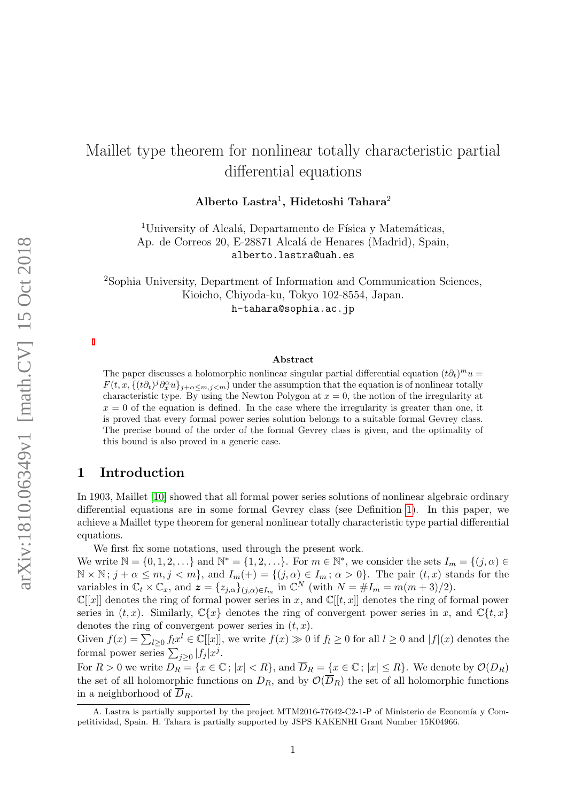# Maillet type theorem for nonlinear totally characteristic partial differential equations

 $\rm\,Alberto\;Lastra^1, \;Hidetoshi\; Tahara^2$ 

<sup>1</sup>University of Alcalá, Departamento de Física y Matemáticas, Ap. de Correos 20, E-28871 Alcalá de Henares (Madrid), Spain, alberto.lastra@uah.es

<sup>2</sup>Sophia University, Department of Information and Communication Sciences, Kioicho, Chiyoda-ku, Tokyo 102-8554, Japan. h-tahara@sophia.ac.jp

#### Abstract

The paper discusses a holomorphic nonlinear singular partial differential equation  $(t\partial_t)^mu =$  $F(t, x, \{(t\partial_t)^j \partial_x^{\alpha} u\}_{j+\alpha \leq m, j < m})$  under the assumption that the equation is of nonlinear totally characteristic type. By using the Newton Polygon at  $x = 0$ , the notion of the irregularity at  $x = 0$  of the equation is defined. In the case where the irregularity is greater than one, it is proved that every formal power series solution belongs to a suitable formal Gevrey class. The precise bound of the order of the formal Gevrey class is given, and the optimality of this bound is also proved in a generic case.

# 1 Introduction

In 1903, Maillet [\[10\]](#page-27-0) showed that all formal power series solutions of nonlinear algebraic ordinary differential equations are in some formal Gevrey class (see Definition [1\)](#page-2-0). In this paper, we achieve a Maillet type theorem for general nonlinear totally characteristic type partial differential equations.

We first fix some notations, used through the present work.

We write  $\mathbb{N} = \{0, 1, 2, \ldots\}$  and  $\mathbb{N}^* = \{1, 2, \ldots\}$ . For  $m \in \mathbb{N}^*$ , we consider the sets  $I_m = \{(j, \alpha) \in \mathbb{N}^* \}$  $\mathbb{N} \times \mathbb{N}$ ;  $j + \alpha \leq m, j < m$ , and  $I_m(+) = \{(j, \alpha) \in I_m; \alpha > 0\}$ . The pair  $(t, x)$  stands for the variables in  $\mathbb{C}_t \times \mathbb{C}_x$ , and  $\mathbf{z} = \{z_{j,\alpha}\}_{(j,\alpha)\in I_m}$  in  $\mathbb{C}^N$  (with  $N = \#I_m = m(m+3)/2$ ).

 $\mathbb{C}[[x]]$  denotes the ring of formal power series in x, and  $\mathbb{C}[[t,x]]$  denotes the ring of formal power series in  $(t, x)$ . Similarly,  $\mathbb{C}\lbrace x \rbrace$  denotes the ring of convergent power series in x, and  $\mathbb{C}\lbrace t, x \rbrace$ denotes the ring of convergent power series in  $(t, x)$ .

Given  $f(x) = \sum_{l \geq 0} f_l x^l \in \mathbb{C}[[x]]$ , we write  $f(x) \gg 0$  if  $f_l \geq 0$  for all  $l \geq 0$  and  $|f|(x)$  denotes the formal power series  $\sum_{j\geq 0} |f_j| x^j$ .

For  $R > 0$  we write  $D_R = \{x \in \mathbb{C}; |x| < R\}$ , and  $\overline{D}_R = \{x \in \mathbb{C}; |x| \leq R\}$ . We denote by  $\mathcal{O}(D_R)$ the set of all holomorphic functions on  $D_R$ , and by  $\mathcal{O}(\overline{D}_R)$  the set of all holomorphic functions in a neighborhood of  $\overline{D}_R$ .

A. Lastra is partially supported by the project MTM2016-77642-C2-1-P of Ministerio de Economía y Competitividad, Spain. H. Tahara is partially supported by JSPS KAKENHI Grant Number 15K04966.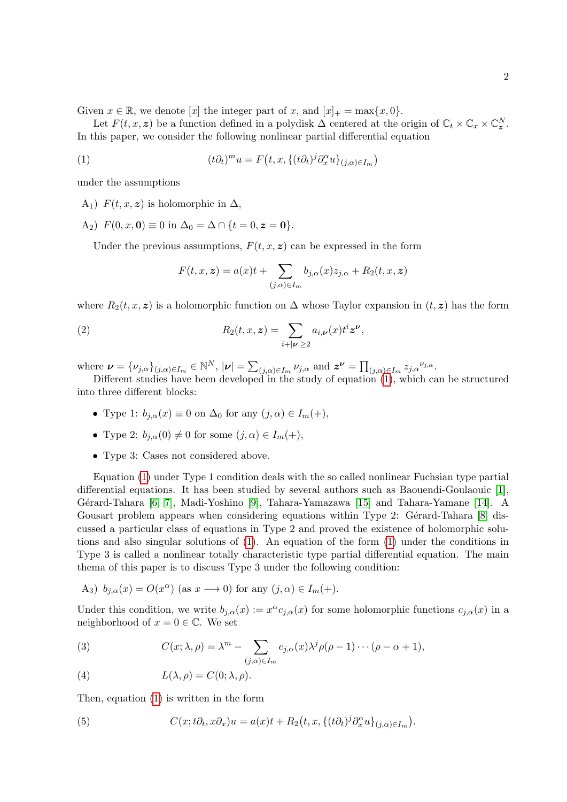Given  $x \in \mathbb{R}$ , we denote [x] the integer part of x, and  $[x]_+ = \max\{x, 0\}$ .

Let  $F(t, x, z)$  be a function defined in a polydisk  $\Delta$  centered at the origin of  $\mathbb{C}_t \times \mathbb{C}_x \times \mathbb{C}_z^N$ . In this paper, we consider the following nonlinear partial differential equation

(1) 
$$
(t\partial_t)^m u = F(t, x, \{(t\partial_t)^j \partial_x^{\alpha} u\}_{(j,\alpha)\in I_m})
$$

under the assumptions

A<sub>1</sub>)  $F(t, x, z)$  is holomorphic in  $\Delta$ ,

A<sub>2</sub>)  $F(0, x, 0) \equiv 0$  in  $\Delta_0 = \Delta \cap \{t = 0, z = 0\}.$ 

Under the previous assumptions,  $F(t, x, z)$  can be expressed in the form

<span id="page-1-2"></span><span id="page-1-0"></span>
$$
F(t, x, z) = a(x)t + \sum_{(j,\alpha)\in I_m} b_{j,\alpha}(x)z_{j,\alpha} + R_2(t, x, z)
$$

where  $R_2(t, x, z)$  is a holomorphic function on  $\Delta$  whose Taylor expansion in  $(t, z)$  has the form

(2) 
$$
R_2(t,x,\boldsymbol{z}) = \sum_{i+|\boldsymbol{\nu}| \geq 2} a_{i,\boldsymbol{\nu}}(x) t^i \boldsymbol{z}^{\boldsymbol{\nu}},
$$

where  $\boldsymbol{\nu} = {\{\nu_{j,\alpha}\}}_{(j,\alpha)\in I_m} \in \mathbb{N}^N$ ,  $|\boldsymbol{\nu}| = \sum_{(j,\alpha)\in I_m} \nu_{j,\alpha}$  and  $\boldsymbol{z}^{\boldsymbol{\nu}} = \prod_{(j,\alpha)\in I_m} z_{j,\alpha}^{\nu_{j,\alpha}}$ .

Different studies have been developed in the study of equation [\(1\)](#page-1-0), which can be structured into three different blocks:

- Type 1:  $b_{i,\alpha}(x) \equiv 0$  on  $\Delta_0$  for any  $(i,\alpha) \in I_m(+)$ ,
- Type 2:  $b_{i,\alpha}(0) \neq 0$  for some  $(j,\alpha) \in I_m(+)$ ,
- Type 3: Cases not considered above.

Equation [\(1\)](#page-1-0) under Type 1 condition deals with the so called nonlinear Fuchsian type partial differential equations. It has been studied by several authors such as Baouendi-Goulaouic [\[1\]](#page-26-0), Gérard-Tahara [\[6,](#page-27-1) [7\]](#page-27-2), Madi-Yoshino [\[9\]](#page-27-3), Tahara-Yamazawa [\[15\]](#page-27-4) and Tahara-Yamane [\[14\]](#page-27-5). A Gousart problem appears when considering equations within Type 2: Gérard-Tahara  $[8]$  discussed a particular class of equations in Type 2 and proved the existence of holomorphic solutions and also singular solutions of [\(1\)](#page-1-0). An equation of the form [\(1\)](#page-1-0) under the conditions in Type 3 is called a nonlinear totally characteristic type partial differential equation. The main thema of this paper is to discuss Type 3 under the following condition:

A<sub>3</sub>) 
$$
b_{j,\alpha}(x) = O(x^{\alpha})
$$
 (as  $x \rightarrow 0$ ) for any  $(j,\alpha) \in I_m(+)$ .

Under this condition, we write  $b_{j,\alpha}(x) := x^{\alpha} c_{j,\alpha}(x)$  for some holomorphic functions  $c_{j,\alpha}(x)$  in a neighborhood of  $x = 0 \in \mathbb{C}$ . We set

<span id="page-1-1"></span>(3) 
$$
C(x; \lambda, \rho) = \lambda^m - \sum_{(j,\alpha) \in I_m} c_{j,\alpha}(x) \lambda^j \rho(\rho - 1) \cdots (\rho - \alpha + 1),
$$

<span id="page-1-3"></span>(4) 
$$
L(\lambda, \rho) = C(0; \lambda, \rho).
$$

Then, equation [\(1\)](#page-1-0) is written in the form

<span id="page-1-4"></span>(5) 
$$
C(x; t\partial_t, x\partial_x)u = a(x)t + R_2(t, x, \{(t\partial_t)^j \partial_x^{\alpha} u\}_{(j,\alpha)\in I_m}).
$$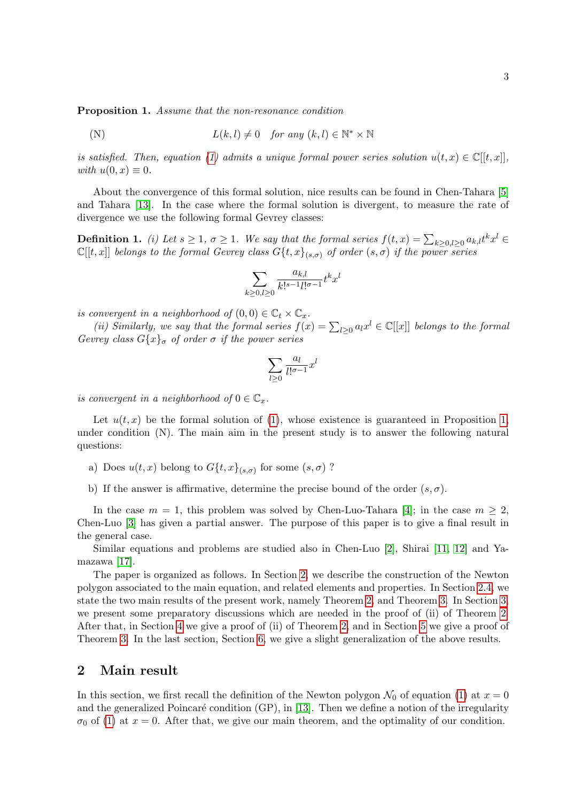<span id="page-2-1"></span>Proposition 1. Assume that the non-resonance condition

(N) 
$$
L(k, l) \neq 0
$$
 for any  $(k, l) \in \mathbb{N}^* \times \mathbb{N}$ 

is satisfied. Then, equation [\(1\)](#page-1-0) admits a unique formal power series solution  $u(t, x) \in \mathbb{C}[[t, x]]$ , with  $u(0, x) \equiv 0$ .

About the convergence of this formal solution, nice results can be found in Chen-Tahara [\[5\]](#page-27-7) and Tahara [\[13\]](#page-27-8). In the case where the formal solution is divergent, to measure the rate of divergence we use the following formal Gevrey classes:

<span id="page-2-0"></span>**Definition 1.** (i) Let  $s \geq 1$ ,  $\sigma \geq 1$ . We say that the formal series  $f(t,x) = \sum_{k \geq 0, l \geq 0} a_{k,l} t^k x^l$  $\mathbb{C}[[t,x]]$  belongs to the formal Gevrey class  $G\{t,x\}_{(s,\sigma)}$  of order  $(s,\sigma)$  if the power series

$$
\sum_{k\geq 0,l\geq 0} \frac{a_{k,l}}{k!^{s-1}l!^{\sigma-1}}t^kx^l
$$

is convergent in a neighborhood of  $(0,0) \in \mathbb{C}_t \times \mathbb{C}_x$ .

(ii) Similarly, we say that the formal series  $f(x) = \sum_{l \geq 0} a_l x^l \in \mathbb{C}[[x]]$  belongs to the formal Gevrey class  $G\{x\}^{\sigma}$  of order  $\sigma$  if the power series

$$
\sum_{l\geq 0} \frac{a_l}{l!^{\sigma-1}} x^l
$$

is convergent in a neighborhood of  $0 \in \mathbb{C}_x$ .

Let  $u(t, x)$  be the formal solution of [\(1\)](#page-1-0), whose existence is guaranteed in Proposition [1,](#page-2-1) under condition (N). The main aim in the present study is to answer the following natural questions:

- a) Does  $u(t, x)$  belong to  $G\{t, x\}_{(s, \sigma)}$  for some  $(s, \sigma)$  ?
- b) If the answer is affirmative, determine the precise bound of the order  $(s, \sigma)$ .

In the case  $m = 1$ , this problem was solved by Chen-Luo-Tahara [\[4\]](#page-27-9); in the case  $m \geq 2$ , Chen-Luo [\[3\]](#page-27-10) has given a partial answer. The purpose of this paper is to give a final result in the general case.

Similar equations and problems are studied also in Chen-Luo [\[2\]](#page-26-1), Shirai [\[11,](#page-27-11) [12\]](#page-27-12) and Yamazawa [\[17\]](#page-27-13).

The paper is organized as follows. In Section [2,](#page-2-2) we describe the construction of the Newton polygon associated to the main equation, and related elements and properties. In Section [2.4,](#page-5-0) we state the two main results of the present work, namely Theorem [2,](#page-5-1) and Theorem [3.](#page-5-2) In Section [3,](#page-6-0) we present some preparatory discussions which are needed in the proof of (ii) of Theorem [2.](#page-5-1) After that, in Section [4](#page-11-0) we give a proof of (ii) of Theorem [2,](#page-5-1) and in Section [5](#page-16-0) we give a proof of Theorem [3.](#page-5-2) In the last section, Section [6,](#page-25-0) we give a slight generalization of the above results.

## <span id="page-2-2"></span>2 Main result

In this section, we first recall the definition of the Newton polygon  $\mathcal{N}_0$  of equation [\(1\)](#page-1-0) at  $x = 0$ and the generalized Poincaré condition  $(GP)$ , in [\[13\]](#page-27-8). Then we define a notion of the irregularity  $\sigma_0$  of [\(1\)](#page-1-0) at  $x = 0$ . After that, we give our main theorem, and the optimality of our condition.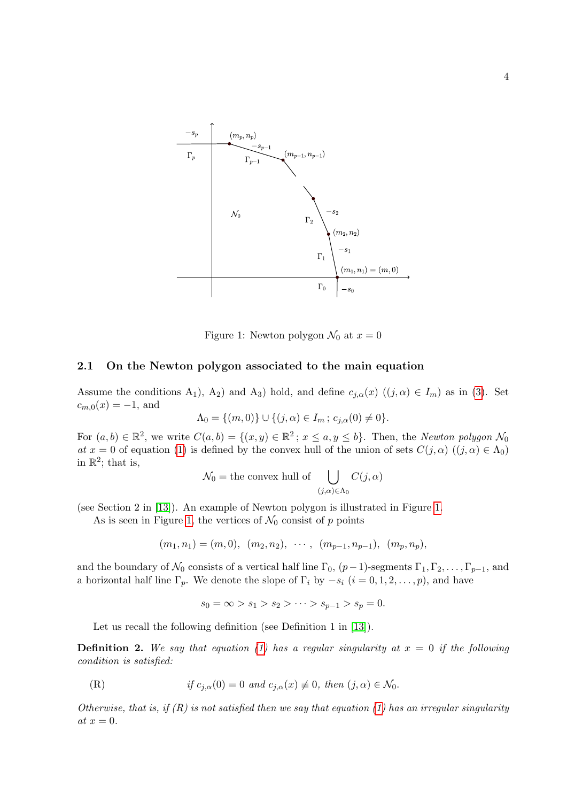

<span id="page-3-0"></span>Figure 1: Newton polygon  $\mathcal{N}_0$  at  $x = 0$ 

#### 2.1 On the Newton polygon associated to the main equation

Assume the conditions A<sub>1</sub>), A<sub>2</sub>) and A<sub>3</sub>) hold, and define  $c_{j,\alpha}(x)$  ((j,  $\alpha$ )  $\in I_m$ ) as in [\(3\)](#page-1-1). Set  $c_{m,0}(x) = -1$ , and

$$
\Lambda_0 = \{(m, 0)\} \cup \{(j, \alpha) \in I_m : c_{j, \alpha}(0) \neq 0\}.
$$

For  $(a, b) \in \mathbb{R}^2$ , we write  $C(a, b) = \{(x, y) \in \mathbb{R}^2 \colon x \le a, y \le b\}$ . Then, the Newton polygon  $\mathcal{N}_0$ at  $x = 0$  of equation [\(1\)](#page-1-0) is defined by the convex hull of the union of sets  $C(j, \alpha)$   $((j, \alpha) \in \Lambda_0)$ in  $\mathbb{R}^2$ ; that is,

$$
\mathcal{N}_0 = \text{the convex hull of } \bigcup_{(j,\alpha)\in\Lambda_0} C(j,\alpha)
$$

(see Section 2 in [\[13\]](#page-27-8)). An example of Newton polygon is illustrated in Figure [1.](#page-3-0)

As is seen in Figure [1,](#page-3-0) the vertices of  $\mathcal{N}_0$  consist of p points

$$
(m_1, n_1) = (m, 0), (m_2, n_2), \cdots, (m_{p-1}, n_{p-1}), (m_p, n_p),
$$

and the boundary of  $\mathcal{N}_0$  consists of a vertical half line  $\Gamma_0$ ,  $(p-1)$ -segments  $\Gamma_1, \Gamma_2, \ldots, \Gamma_{p-1}$ , and a horizontal half line  $\Gamma_p$ . We denote the slope of  $\Gamma_i$  by  $-s_i$   $(i = 0, 1, 2, \ldots, p)$ , and have

$$
s_0 = \infty > s_1 > s_2 > \cdots > s_{p-1} > s_p = 0.
$$

Let us recall the following definition (see Definition 1 in [\[13\]](#page-27-8)).

<span id="page-3-1"></span>**Definition 2.** We say that equation [\(1\)](#page-1-0) has a regular singularity at  $x = 0$  if the following condition is satisfied:

(R) if  $c_{i,\alpha}(0) = 0$  and  $c_{i,\alpha}(x) \not\equiv 0$ , then  $(j,\alpha) \in \mathcal{N}_0$ .

Otherwise, that is, if  $(R)$  is not satisfied then we say that equation [\(1\)](#page-1-0) has an irregular singularity at  $x = 0$ .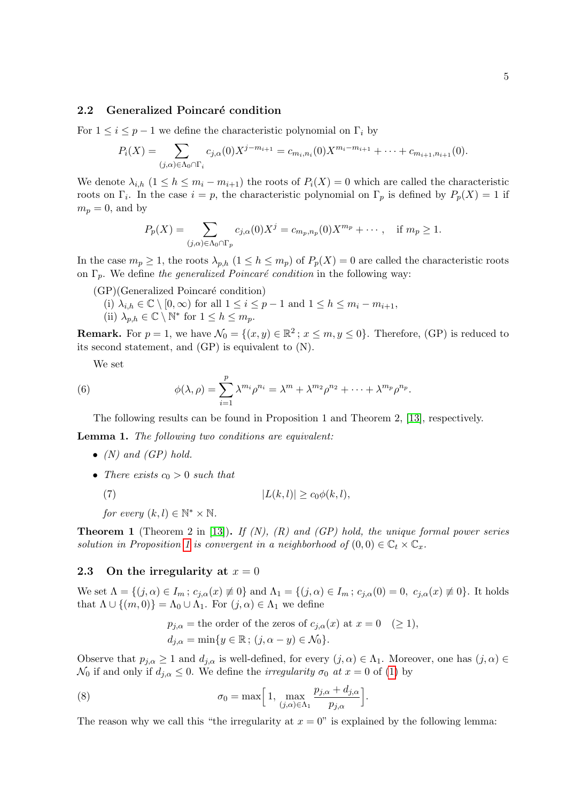#### 2.2 Generalized Poincaré condition

For  $1 \leq i \leq p-1$  we define the characteristic polynomial on  $\Gamma_i$  by

$$
P_i(X) = \sum_{(j,\alpha)\in\Lambda_0\cap\Gamma_i} c_{j,\alpha}(0)X^{j-m_{i+1}} = c_{m_i,n_i}(0)X^{m_i-m_{i+1}} + \cdots + c_{m_{i+1},n_{i+1}}(0).
$$

We denote  $\lambda_{i,h}$   $(1 \leq h \leq m_i - m_{i+1})$  the roots of  $P_i(X) = 0$  which are called the characteristic roots on  $\Gamma_i$ . In the case  $i = p$ , the characteristic polynomial on  $\Gamma_p$  is defined by  $P_p(X) = 1$  if  $m_p = 0$ , and by

$$
P_p(X) = \sum_{(j,\alpha)\in\Lambda_0\cap\Gamma_p} c_{j,\alpha}(0)X^j = c_{m_p,n_p}(0)X^{m_p} + \cdots, \quad \text{if } m_p \ge 1.
$$

In the case  $m_p \geq 1$ , the roots  $\lambda_{p,h}$   $(1 \leq h \leq m_p)$  of  $P_p(X) = 0$  are called the characteristic roots on  $\Gamma_p$ . We define the generalized Poincaré condition in the following way:

- $(GP)(Generalized Poincaré condition)$ 
	- (i)  $\lambda_{i,h} \in \mathbb{C} \setminus [0,\infty)$  for all  $1 \leq i \leq p-1$  and  $1 \leq h \leq m_i m_{i+1}$ ,
	- (ii)  $\lambda_{p,h} \in \mathbb{C} \setminus \mathbb{N}^*$  for  $1 \leq h \leq m_p$ .

**Remark.** For  $p = 1$ , we have  $\mathcal{N}_0 = \{(x, y) \in \mathbb{R}^2 \mid x \leq m, y \leq 0\}$ . Therefore, (GP) is reduced to its second statement, and (GP) is equivalent to (N).

<span id="page-4-2"></span>We set

(6) 
$$
\phi(\lambda,\rho)=\sum_{i=1}^p \lambda^{m_i}\rho^{n_i}=\lambda^m+\lambda^{m_2}\rho^{n_2}+\cdots+\lambda^{m_p}\rho^{n_p}.
$$

The following results can be found in Proposition 1 and Theorem 2, [\[13\]](#page-27-8), respectively.

<span id="page-4-5"></span>Lemma 1. The following two conditions are equivalent:

- $(N)$  and  $(GP)$  hold.
- There exists  $c_0 > 0$  such that

(7)  $|L(k, l)| > c_0 \phi(k, l),$ 

<span id="page-4-4"></span>for every  $(k, l) \in \mathbb{N}^* \times \mathbb{N}$ .

<span id="page-4-0"></span>**Theorem 1** (Theorem 2 in [\[13\]](#page-27-8)). If  $(N)$ ,  $(R)$  and  $(GP)$  hold, the unique formal power series solution in Proposition [1](#page-2-1) is convergent in a neighborhood of  $(0,0) \in \mathbb{C}_t \times \mathbb{C}_x$ .

#### <span id="page-4-3"></span>2.3 On the irregularity at  $x=0$

We set  $\Lambda = \{(j, \alpha) \in I_m : c_{j, \alpha}(x) \neq 0\}$  and  $\Lambda_1 = \{(j, \alpha) \in I_m : c_{j, \alpha}(0) = 0, c_{j, \alpha}(x) \neq 0\}$ . It holds that  $\Lambda \cup \{(m,0)\} = \Lambda_0 \cup \Lambda_1$ . For  $(j,\alpha) \in \Lambda_1$  we define

<span id="page-4-1"></span>
$$
p_{j,\alpha} = \text{the order of the zeros of } c_{j,\alpha}(x) \text{ at } x = 0 \quad (\ge 1),
$$
  

$$
d_{j,\alpha} = \min\{y \in \mathbb{R}; (j,\alpha - y) \in \mathcal{N}_0\}.
$$

Observe that  $p_{j,\alpha} \geq 1$  and  $d_{j,\alpha}$  is well-defined, for every  $(j,\alpha) \in \Lambda_1$ . Moreover, one has  $(j,\alpha) \in$  $\mathcal{N}_0$  if and only if  $d_{i,\alpha} \leq 0$ . We define the *irregularity*  $\sigma_0$  at  $x = 0$  of [\(1\)](#page-1-0) by

(8) 
$$
\sigma_0 = \max \Big[ 1, \max_{(j,\alpha)\in\Lambda_1} \frac{p_{j,\alpha} + d_{j,\alpha}}{p_{j,\alpha}} \Big].
$$

The reason why we call this "the irregularity at  $x = 0$ " is explained by the following lemma: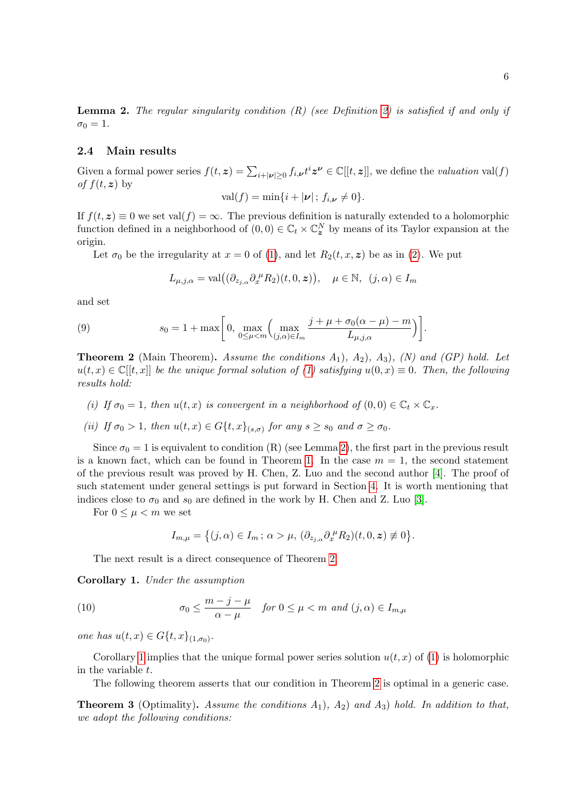<span id="page-5-3"></span>**Lemma 2.** The regular singularity condition  $(R)$  (see Definition [2\)](#page-3-1) is satisfied if and only if  $\sigma_0 = 1$ .

#### <span id="page-5-0"></span>2.4 Main results

Given a formal power series  $f(t, z) = \sum_{i+|\nu| \geq 0} f_{i,\nu} t^i z^{\nu} \in \mathbb{C}[[t, z]]$ , we define the *valuation* val(f) of  $f(t, z)$  by

$$
val(f) = min\{i + |\nu|; f_{i,\nu} \neq 0\}
$$

If  $f(t, z) \equiv 0$  we set val $(f) = \infty$ . The previous definition is naturally extended to a holomorphic function defined in a neighborhood of  $(0,0) \in \mathbb{C}_t \times \mathbb{C}_z^N$  by means of its Taylor expansion at the origin.

Let  $\sigma_0$  be the irregularity at  $x = 0$  of [\(1\)](#page-1-0), and let  $R_2(t, x, z)$  be as in [\(2\)](#page-1-2). We put

<span id="page-5-5"></span>
$$
L_{\mu,j,\alpha} = \text{val}((\partial_{z_{j,\alpha}} \partial_x^{\mu} R_2)(t, 0, \boldsymbol{z})), \quad \mu \in \mathbb{N}, \ (j,\alpha) \in I_m
$$

and set

(9) 
$$
s_0 = 1 + \max\bigg[0, \max_{0 \le \mu < m} \left(\max_{(j,\alpha)\in I_m} \frac{j + \mu + \sigma_0(\alpha - \mu) - m}{L_{\mu,j,\alpha}}\right)\bigg].
$$

<span id="page-5-1"></span>**Theorem 2** (Main Theorem). Assume the conditions  $A_1$ ,  $A_2$ ,  $A_3$ ,  $(N)$  and  $(GP)$  hold. Let  $u(t, x) \in \mathbb{C}[[t, x]]$  be the unique formal solution of [\(1\)](#page-1-0) satisfying  $u(0, x) \equiv 0$ . Then, the following results hold:

(i) If  $\sigma_0 = 1$ , then  $u(t, x)$  is convergent in a neighborhood of  $(0, 0) \in \mathbb{C}_t \times \mathbb{C}_x$ .

(ii) If 
$$
\sigma_0 > 1
$$
, then  $u(t, x) \in G\{t, x\}_{(s, \sigma)}$  for any  $s \ge s_0$  and  $\sigma \ge \sigma_0$ .

Since  $\sigma_0 = 1$  is equivalent to condition (R) (see Lemma [2\)](#page-5-3), the first part in the previous result is a known fact, which can be found in Theorem [1.](#page-4-0) In the case  $m = 1$ , the second statement of the previous result was proved by H. Chen, Z. Luo and the second author [\[4\]](#page-27-9). The proof of such statement under general settings is put forward in Section [4.](#page-11-0) It is worth mentioning that indices close to  $\sigma_0$  and  $s_0$  are defined in the work by H. Chen and Z. Luo [\[3\]](#page-27-10).

For  $0 \leq \mu < m$  we set

$$
I_{m,\mu} = \left\{ (j,\alpha) \in I_m \, ; \, \alpha > \mu, \, (\partial_{z_{j,\alpha}} \partial_x^{\mu} R_2)(t,0,\boldsymbol{z}) \not\equiv 0 \right\}.
$$

The next result is a direct consequence of Theorem [2.](#page-5-1)

<span id="page-5-4"></span>Corollary 1. Under the assumption

(10) 
$$
\sigma_0 \le \frac{m-j-\mu}{\alpha-\mu} \quad \text{for } 0 \le \mu < m \text{ and } (j,\alpha) \in I_{m,\mu}
$$

one has  $u(t, x) \in G\{t, x\}_{(1, \sigma_0)}$ .

Corollary [1](#page-5-4) implies that the unique formal power series solution  $u(t, x)$  of [\(1\)](#page-1-0) is holomorphic in the variable t.

The following theorem asserts that our condition in Theorem [2](#page-5-1) is optimal in a generic case.

<span id="page-5-2"></span>**Theorem 3** (Optimality). Assume the conditions  $A_1$ ),  $A_2$ ) and  $A_3$ ) hold. In addition to that, we adopt the following conditions: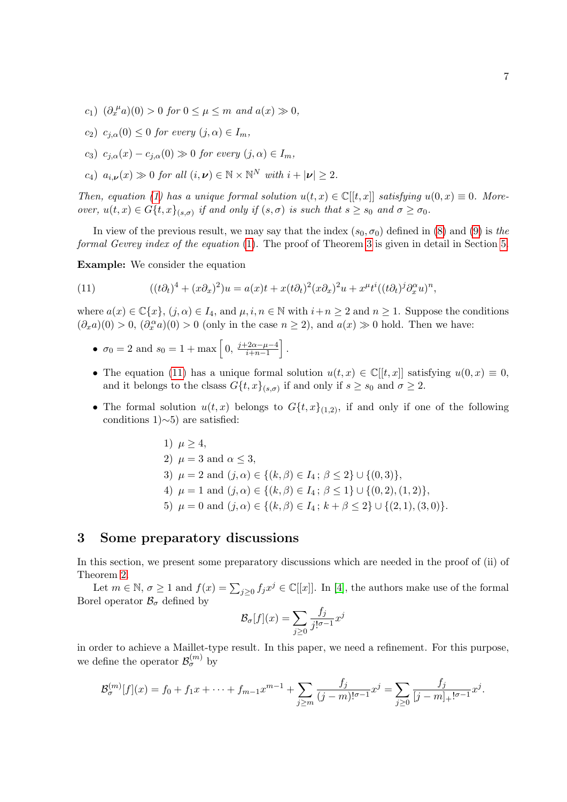- c<sub>1</sub>)  $(\partial_x^{\mu}a)(0) > 0$  for  $0 \le \mu \le m$  and  $a(x) \gg 0$ ,
- c<sub>2</sub>)  $c_{i,\alpha}(0) \leq 0$  for every  $(j,\alpha) \in I_m$ ,
- c<sub>3</sub>)  $c_{i,\alpha}(x) c_{i,\alpha}(0) \gg 0$  for every  $(j,\alpha) \in I_m$ ,
- $c_4$ )  $a_{i,\nu}(x) \gg 0$  for all  $(i,\nu) \in \mathbb{N} \times \mathbb{N}^N$  with  $i+|\nu| \geq 2$ .

Then, equation [\(1\)](#page-1-0) has a unique formal solution  $u(t, x) \in \mathbb{C}[[t, x]]$  satisfying  $u(0, x) \equiv 0$ . Moreover,  $u(t, x) \in G\{t, x\}_{(s, \sigma)}$  if and only if  $(s, \sigma)$  is such that  $s \geq s_0$  and  $\sigma \geq \sigma_0$ .

In view of the previous result, we may say that the index  $(s_0, \sigma_0)$  defined in [\(8\)](#page-4-1) and [\(9\)](#page-5-5) is the formal Gevrey index of the equation [\(1\)](#page-1-0). The proof of Theorem [3](#page-5-2) is given in detail in Section [5.](#page-16-0)

Example: We consider the equation

<span id="page-6-1"></span>(11) 
$$
((t\partial_t)^4 + (x\partial_x)^2)u = a(x)t + x(t\partial_t)^2(x\partial_x)^2u + x^{\mu}t^i((t\partial_t)^j\partial_x^{\alpha}u)^n
$$

where  $a(x) \in \mathbb{C}\{x\}$ ,  $(j, \alpha) \in I_4$ , and  $\mu, i, n \in \mathbb{N}$  with  $i+n \geq 2$  and  $n \geq 1$ . Suppose the conditions  $(\partial_x a)(0) > 0$ ,  $(\partial_x^{\alpha} a)(0) > 0$  (only in the case  $n \ge 2$ ), and  $a(x) \gg 0$  hold. Then we have:

- $\sigma_0 = 2$  and  $s_0 = 1 + \max\left[0, \frac{j + 2\alpha \mu 4}{j + n 1}\right]$  $\frac{-2\alpha - \mu - 4}{i + n - 1}$ .
- The equation [\(11\)](#page-6-1) has a unique formal solution  $u(t, x) \in \mathbb{C}[[t, x]]$  satisfying  $u(0, x) \equiv 0$ , and it belongs to the clsass  $G\{t, x\}_{(s,\sigma)}$  if and only if  $s \geq s_0$  and  $\sigma \geq 2$ .
- The formal solution  $u(t, x)$  belongs to  $G\{t, x\}_{(1,2)}$ , if and only if one of the following conditions 1)∼5) are satisfied:

1) 
$$
\mu \ge 4
$$
,  
\n2)  $\mu = 3$  and  $\alpha \le 3$ ,  
\n3)  $\mu = 2$  and  $(j, \alpha) \in \{(k, \beta) \in I_4; \beta \le 2\} \cup \{(0, 3)\}$ ,  
\n4)  $\mu = 1$  and  $(j, \alpha) \in \{(k, \beta) \in I_4; \beta \le 1\} \cup \{(0, 2), (1, 2)\}$ ,  
\n5)  $\mu = 0$  and  $(j, \alpha) \in \{(k, \beta) \in I_4; k + \beta \le 2\} \cup \{(2, 1), (3, 0)\}$ .

## <span id="page-6-0"></span>3 Some preparatory discussions

In this section, we present some preparatory discussions which are needed in the proof of (ii) of Theorem [2.](#page-5-1)

Let  $m \in \mathbb{N}$ ,  $\sigma \ge 1$  and  $f(x) = \sum_{j\ge 0} f_j x^j \in \mathbb{C}[[x]]$ . In [\[4\]](#page-27-9), the authors make use of the formal Borel operator  $\mathcal{B}_{\sigma}$  defined by

$$
\mathcal{B}_{\sigma}[f](x) = \sum_{j \ge 0} \frac{f_j}{j!^{\sigma-1}} x^j
$$

in order to achieve a Maillet-type result. In this paper, we need a refinement. For this purpose, we define the operator  $\mathcal{B}_{\sigma}^{(m)}$  by

$$
\mathcal{B}_{\sigma}^{(m)}[f](x) = f_0 + f_1 x + \dots + f_{m-1} x^{m-1} + \sum_{j \ge m} \frac{f_j}{(j-m)! \sigma^{-1}} x^j = \sum_{j \ge 0} \frac{f_j}{[j-m]_+! \sigma^{-1}} x^j.
$$

,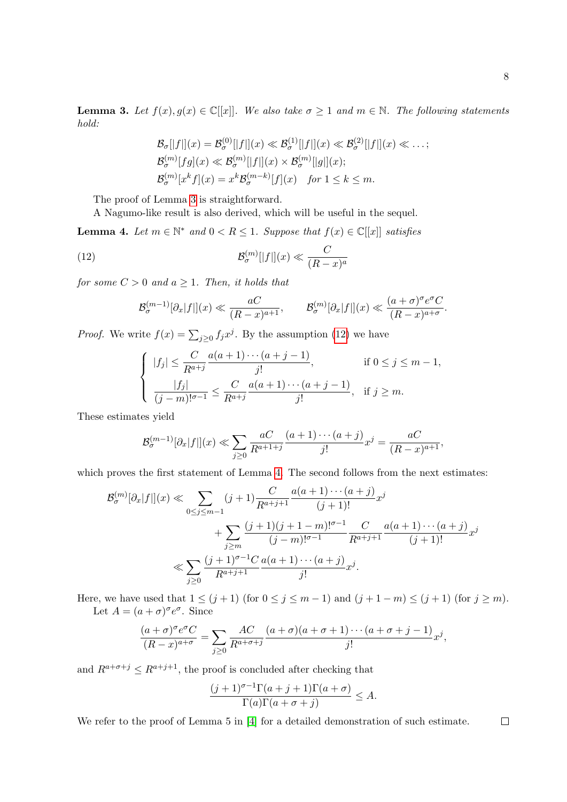<span id="page-7-0"></span>**Lemma 3.** Let  $f(x), g(x) \in \mathbb{C}[[x]]$ . We also take  $\sigma \geq 1$  and  $m \in \mathbb{N}$ . The following statements hold:

$$
\mathcal{B}_{\sigma}[|f|](x) = \mathcal{B}_{\sigma}^{(0)}[|f|](x) \ll \mathcal{B}_{\sigma}^{(1)}[|f|](x) \ll \mathcal{B}_{\sigma}^{(2)}[|f|](x) \ll \dots;
$$
  
\n
$$
\mathcal{B}_{\sigma}^{(m)}[fg](x) \ll \mathcal{B}_{\sigma}^{(m)}[|f|](x) \times \mathcal{B}_{\sigma}^{(m)}[|g|](x);
$$
  
\n
$$
\mathcal{B}_{\sigma}^{(m)}[x^k f](x) = x^k \mathcal{B}_{\sigma}^{(m-k)}[f](x) \text{ for } 1 \le k \le m.
$$

The proof of Lemma [3](#page-7-0) is straightforward.

A Nagumo-like result is also derived, which will be useful in the sequel.

<span id="page-7-2"></span>**Lemma 4.** Let  $m \in \mathbb{N}^*$  and  $0 < R \leq 1$ . Suppose that  $f(x) \in \mathbb{C}[[x]]$  satisfies

(12) 
$$
\mathcal{B}_{\sigma}^{(m)}[|f|](x) \ll \frac{C}{(R-x)^a}
$$

for some  $C > 0$  and  $a \geq 1$ . Then, it holds that

<span id="page-7-1"></span>
$$
\mathcal{B}_{\sigma}^{(m-1)}[\partial_x|f|](x) \ll \frac{aC}{(R-x)^{a+1}}, \qquad \mathcal{B}_{\sigma}^{(m)}[\partial_x|f|](x) \ll \frac{(a+\sigma)^{\sigma}e^{\sigma}C}{(R-x)^{a+\sigma}}.
$$

*Proof.* We write  $f(x) = \sum_{j\geq 0} f_j x^j$ . By the assumption [\(12\)](#page-7-1) we have

$$
\begin{cases}\n|f_j| \leq \frac{C}{R^{a+j}} \frac{a(a+1)\cdots(a+j-1)}{j!}, & \text{if } 0 \leq j \leq m-1, \\
\frac{|f_j|}{(j-m)!^{\sigma-1}} \leq \frac{C}{R^{a+j}} \frac{a(a+1)\cdots(a+j-1)}{j!}, & \text{if } j \geq m.\n\end{cases}
$$

These estimates yield

$$
\mathcal{B}_{\sigma}^{(m-1)}[\partial_x|f|](x) \ll \sum_{j\geq 0} \frac{aC}{R^{a+1+j}} \frac{(a+1)\cdots(a+j)}{j!} x^j = \frac{aC}{(R-x)^{a+1}},
$$

which proves the first statement of Lemma [4.](#page-7-2) The second follows from the next estimates:

$$
\mathcal{B}_{\sigma}^{(m)}[\partial_x|f|](x) \ll \sum_{0 \le j \le m-1} (j+1) \frac{C}{R^{a+j+1}} \frac{a(a+1)\cdots(a+j)}{(j+1)!} x^j
$$
  
+ 
$$
\sum_{j \ge m} \frac{(j+1)(j+1-m)!^{\sigma-1}}{(j-m)!^{\sigma-1}} \frac{C}{R^{a+j+1}} \frac{a(a+1)\cdots(a+j)}{(j+1)!} x^j
$$
  

$$
\ll \sum_{j\ge 0} \frac{(j+1)^{\sigma-1}C}{R^{a+j+1}} \frac{a(a+1)\cdots(a+j)}{j!} x^j.
$$

Here, we have used that  $1 \le (j+1)$  (for  $0 \le j \le m-1$ ) and  $(j+1-m) \le (j+1)$  (for  $j \ge m$ ). Let  $A = (a + \sigma)^{\sigma} e^{\sigma}$ . Since

$$
\frac{(a+\sigma)^{\sigma}e^{\sigma}C}{(R-x)^{a+\sigma}} = \sum_{j\geq 0} \frac{AC}{R^{a+\sigma+j}} \frac{(a+\sigma)(a+\sigma+1)\cdots(a+\sigma+j-1)}{j!}x^j,
$$

and  $R^{a+\sigma+j} \leq R^{a+j+1}$ , the proof is concluded after checking that

$$
\frac{(j+1)^{\sigma-1}\Gamma(a+j+1)\Gamma(a+\sigma)}{\Gamma(a)\Gamma(a+\sigma+j)} \leq A.
$$

We refer to the proof of Lemma 5 in [\[4\]](#page-27-9) for a detailed demonstration of such estimate.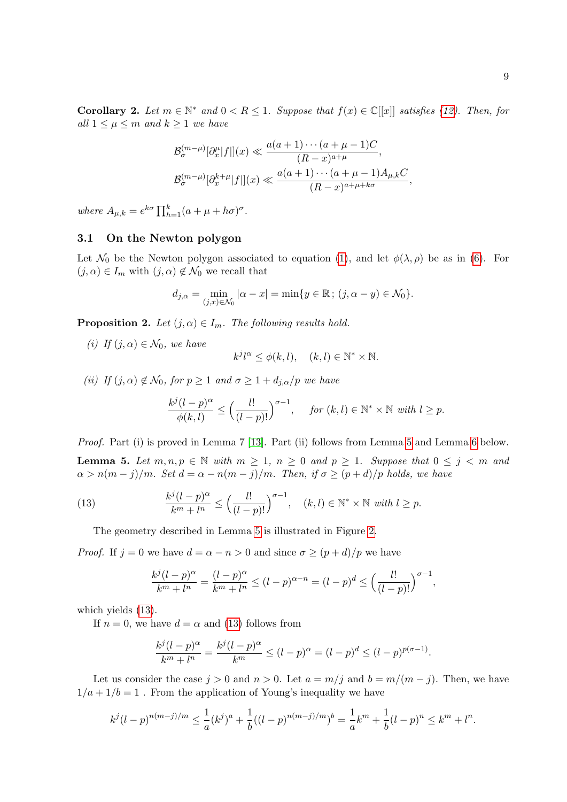<span id="page-8-3"></span>Corollary 2. Let  $m \in \mathbb{N}^*$  and  $0 < R \leq 1$ . Suppose that  $f(x) \in \mathbb{C}[[x]]$  satisfies [\(12\)](#page-7-1). Then, for all  $1 \leq \mu \leq m$  and  $k \geq 1$  we have

$$
\mathcal{B}_{\sigma}^{(m-\mu)}[\partial_x^{\mu}|f|](x) \ll \frac{a(a+1)\cdots(a+\mu-1)C}{(R-x)^{a+\mu}},
$$

$$
\mathcal{B}_{\sigma}^{(m-\mu)}[\partial_x^{k+\mu}|f|](x) \ll \frac{a(a+1)\cdots(a+\mu-1)A_{\mu,k}C}{(R-x)^{a+\mu+k\sigma}},
$$

where  $A_{\mu,k} = e^{k\sigma} \prod_{h=1}^k (a + \mu + h\sigma)^{\sigma}$ .

#### 3.1 On the Newton polygon

Let  $\mathcal{N}_0$  be the Newton polygon associated to equation [\(1\)](#page-1-0), and let  $\phi(\lambda, \rho)$  be as in [\(6\)](#page-4-2). For  $(j, \alpha) \in I_m$  with  $(j, \alpha) \notin \mathcal{N}_0$  we recall that

$$
d_{j,\alpha} = \min_{(j,x)\in\mathcal{N}_0} |\alpha - x| = \min\{y\in\mathbb{R}\,;\,(j,\alpha - y) \in \mathcal{N}_0\}.
$$

<span id="page-8-2"></span>**Proposition 2.** Let  $(j, \alpha) \in I_m$ . The following results hold.

(i) If  $(j, \alpha) \in \mathcal{N}_0$ , we have

$$
k^{j}l^{\alpha} \le \phi(k, l), \quad (k, l) \in \mathbb{N}^* \times \mathbb{N}.
$$

(ii) If  $(j, \alpha) \notin \mathcal{N}_0$ , for  $p \geq 1$  and  $\sigma \geq 1 + d_{j,\alpha}/p$  we have

$$
\frac{k^{j}(l-p)^{\alpha}}{\phi(k,l)} \le \left(\frac{l!}{(l-p)!}\right)^{\sigma-1}, \quad \text{for } (k,l) \in \mathbb{N}^* \times \mathbb{N} \text{ with } l \ge p.
$$

<span id="page-8-0"></span>Proof. Part (i) is proved in Lemma 7 [\[13\]](#page-27-8). Part (ii) follows from Lemma [5](#page-8-0) and Lemma [6](#page-9-0) below. **Lemma 5.** Let  $m, n, p \in \mathbb{N}$  with  $m \geq 1$ ,  $n \geq 0$  and  $p \geq 1$ . Suppose that  $0 \leq j \leq m$  and  $\alpha > n(m-j)/m$ . Set  $d = \alpha - n(m-j)/m$ . Then, if  $\sigma \ge (p+d)/p$  holds, we have

(13) 
$$
\frac{k^j(l-p)^{\alpha}}{k^m+l^n} \leq \left(\frac{l!}{(l-p)!}\right)^{\sigma-1}, \quad (k,l) \in \mathbb{N}^* \times \mathbb{N} \text{ with } l \geq p.
$$

The geometry described in Lemma [5](#page-8-0) is illustrated in Figure [2.](#page-9-1)

*Proof.* If  $j = 0$  we have  $d = \alpha - n > 0$  and since  $\sigma \ge (p + d)/p$  we have

<span id="page-8-1"></span>
$$
\frac{k^{j}(l-p)^{\alpha}}{k^{m}+l^{n}} = \frac{(l-p)^{\alpha}}{k^{m}+l^{n}} \le (l-p)^{\alpha-n} = (l-p)^{d} \le \left(\frac{l!}{(l-p)!}\right)^{\sigma-1},
$$

which yields [\(13\)](#page-8-1).

If  $n = 0$ , we have  $d = \alpha$  and [\(13\)](#page-8-1) follows from

$$
\frac{k^{j}(l-p)^{\alpha}}{k^{m}+l^{n}} = \frac{k^{j}(l-p)^{\alpha}}{k^{m}} \le (l-p)^{\alpha} = (l-p)^{d} \le (l-p)^{p(\sigma-1)}.
$$

Let us consider the case  $j > 0$  and  $n > 0$ . Let  $a = m/j$  and  $b = m/(m - j)$ . Then, we have  $1/a + 1/b = 1$ . From the application of Young's inequality we have

$$
k^{j}(l-p)^{n(m-j)/m} \leq \frac{1}{a}(k^{j})^{a} + \frac{1}{b}((l-p)^{n(m-j)/m})^{b} = \frac{1}{a}k^{m} + \frac{1}{b}(l-p)^{n} \leq k^{m} + l^{n}.
$$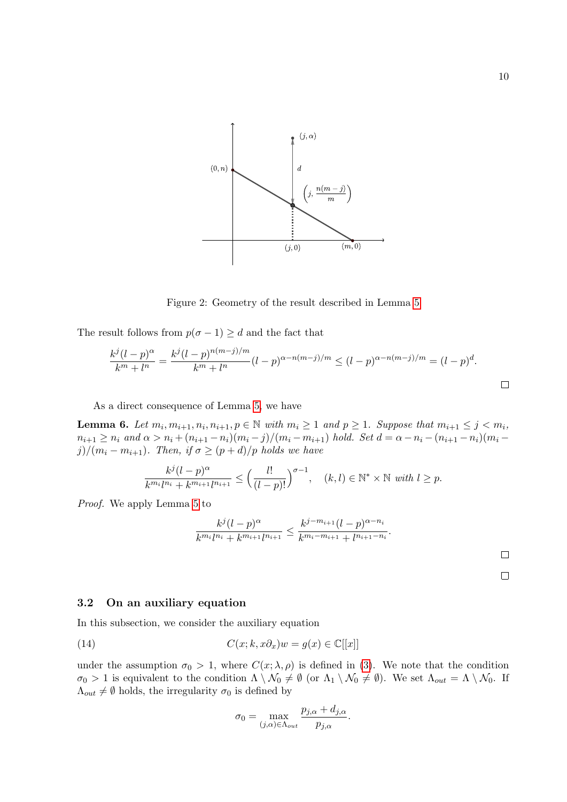

<span id="page-9-1"></span>Figure 2: Geometry of the result described in Lemma [5](#page-8-0)

The result follows from  $p(\sigma - 1) \geq d$  and the fact that

$$
\frac{k^j(l-p)^{\alpha}}{k^m + l^n} = \frac{k^j(l-p)^{n(m-j)/m}}{k^m + l^n} (l-p)^{\alpha - n(m-j)/m} \le (l-p)^{\alpha - n(m-j)/m} = (l-p)^d.
$$

As a direct consequence of Lemma [5,](#page-8-0) we have

<span id="page-9-0"></span>**Lemma 6.** Let  $m_i, m_{i+1}, n_i, n_{i+1}, p \in \mathbb{N}$  with  $m_i \ge 1$  and  $p \ge 1$ . Suppose that  $m_{i+1} \le j \le m_i$ ,  $n_{i+1} \geq n_i$  and  $\alpha > n_i + (n_{i+1} - n_i)(m_i - j)/(m_i - m_{i+1})$  hold. Set  $d = \alpha - n_i - (n_{i+1} - n_i)(m_i - j)$ j)/( $m_i - m_{i+1}$ ). Then, if  $\sigma \ge (p + d)/p$  holds we have

$$
\frac{k^j(l-p)^{\alpha}}{k^{m_i}l^{n_i}+k^{m_{i+1}}l^{n_{i+1}}}\leq \left(\frac{l!}{(l-p)!}\right)^{\sigma-1},\quad (k,l)\in\mathbb{N}^*\times\mathbb{N}\,\,\text{with}\,\,l\geq p.
$$

Proof. We apply Lemma [5](#page-8-0) to

$$
\frac{k^j(l-p)^{\alpha}}{k^{m_i}l^{n_i} + k^{m_{i+1}l^{n_{i+1}}}} \le \frac{k^{j-m_{i+1}}(l-p)^{\alpha-n_i}}{k^{m_i-m_{i+1}} + l^{n_{i+1}-n_i}}.
$$

#### 3.2 On an auxiliary equation

In this subsection, we consider the auxiliary equation

(14) 
$$
C(x;k,x\partial_x)w = g(x) \in \mathbb{C}[[x]]
$$

under the assumption  $\sigma_0 > 1$ , where  $C(x; \lambda, \rho)$  is defined in [\(3\)](#page-1-1). We note that the condition  $\sigma_0 > 1$  is equivalent to the condition  $\Lambda \setminus \mathcal{N}_0 \neq \emptyset$  (or  $\Lambda_1 \setminus \mathcal{N}_0 \neq \emptyset$ ). We set  $\Lambda_{out} = \Lambda \setminus \mathcal{N}_0$ . If  $\Lambda_{out} \neq \emptyset$  holds, the irregularity  $\sigma_0$  is defined by

<span id="page-9-2"></span>
$$
\sigma_0 = \max_{(j,\alpha)\in\Lambda_{out}} \frac{p_{j,\alpha} + d_{j,\alpha}}{p_{j,\alpha}}.
$$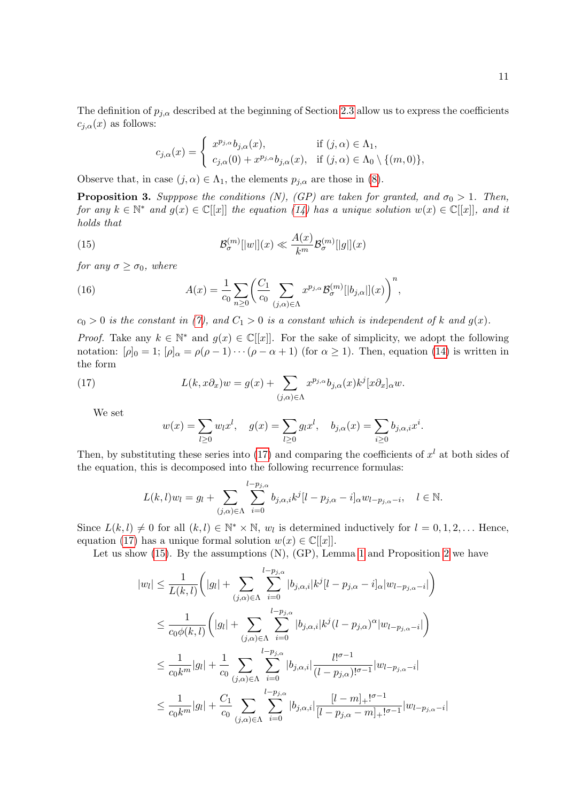The definition of  $p_{j,\alpha}$  described at the beginning of Section [2.3](#page-4-3) allow us to express the coefficients  $c_{i,\alpha}(x)$  as follows:

<span id="page-10-1"></span>
$$
c_{j,\alpha}(x) = \begin{cases} x^{p_{j,\alpha}}b_{j,\alpha}(x), & \text{if } (j,\alpha) \in \Lambda_1, \\ c_{j,\alpha}(0) + x^{p_{j,\alpha}}b_{j,\alpha}(x), & \text{if } (j,\alpha) \in \Lambda_0 \setminus \{(m,0)\}, \end{cases}
$$

Observe that, in case  $(j, \alpha) \in \Lambda_1$ , the elements  $p_{j,\alpha}$  are those in [\(8\)](#page-4-1).

<span id="page-10-3"></span>**Proposition 3.** Supppose the conditions (N), (GP) are taken for granted, and  $\sigma_0 > 1$ . Then, for any  $k \in \mathbb{N}^*$  and  $g(x) \in \mathbb{C}[[x]]$  the equation [\(14\)](#page-9-2) has a unique solution  $w(x) \in \mathbb{C}[[x]]$ , and it holds that

(15) 
$$
\mathcal{B}_{\sigma}^{(m)}[|w|](x) \ll \frac{A(x)}{k^m} \mathcal{B}_{\sigma}^{(m)}[|g|](x)
$$

for any  $\sigma \geq \sigma_0$ , where

<span id="page-10-2"></span>(16) 
$$
A(x) = \frac{1}{c_0} \sum_{n \ge 0} \left( \frac{C_1}{c_0} \sum_{(j,\alpha) \in \Lambda} x^{p_{j,\alpha}} \mathcal{B}_{\sigma}^{(m)}[|b_{j,\alpha}|](x) \right)^n,
$$

 $c_0 > 0$  is the constant in [\(7\)](#page-4-4), and  $C_1 > 0$  is a constant which is independent of k and  $g(x)$ .

*Proof.* Take any  $k \in \mathbb{N}^*$  and  $g(x) \in \mathbb{C}[[x]]$ . For the sake of simplicity, we adopt the following notation:  $[\rho]_0 = 1$ ;  $[\rho]_\alpha = \rho(\rho - 1) \cdots (\rho - \alpha + 1)$  (for  $\alpha \ge 1$ ). Then, equation [\(14\)](#page-9-2) is written in the form

(17) 
$$
L(k, x\partial_x)w = g(x) + \sum_{(j,\alpha)\in\Lambda} x^{p_{j,\alpha}} b_{j,\alpha}(x) k^j [x \partial_x]_{\alpha} w.
$$

We set

<span id="page-10-0"></span>
$$
w(x) = \sum_{l \ge 0} w_l x^l
$$
,  $g(x) = \sum_{l \ge 0} g_l x^l$ ,  $b_{j,\alpha}(x) = \sum_{i \ge 0} b_{j,\alpha,i} x^i$ .

Then, by substituting these series into [\(17\)](#page-10-0) and comparing the coefficients of  $x<sup>l</sup>$  at both sides of the equation, this is decomposed into the following recurrence formulas:

$$
L(k,l)w_l = g_l + \sum_{(j,\alpha)\in\Lambda} \sum_{i=0}^{l-p_{j,\alpha}} b_{j,\alpha,i} k^j [l-p_{j,\alpha}-i]_{\alpha} w_{l-p_{j,\alpha}-i}, \quad l \in \mathbb{N}.
$$

Since  $L(k, l) \neq 0$  for all  $(k, l) \in \mathbb{N}^* \times \mathbb{N}$ ,  $w_l$  is determined inductively for  $l = 0, 1, 2, \dots$  Hence, equation [\(17\)](#page-10-0) has a unique formal solution  $w(x) \in \mathbb{C}[[x]]$ .

Let us show  $(15)$ . By the assumptions  $(N)$ ,  $(GP)$ , Lemma [1](#page-4-5) and Proposition [2](#page-8-2) we have

$$
|w_{l}| \leq \frac{1}{L(k,l)} \left( |g_{l}| + \sum_{(j,\alpha)\in\Lambda} \sum_{i=0}^{l-p_{j,\alpha}} |b_{j,\alpha,i}| k^{j} [l-p_{j,\alpha} - i]_{\alpha} |w_{l-p_{j,\alpha}-i}| \right)
$$
  

$$
\leq \frac{1}{c_{0}\phi(k,l)} \left( |g_{l}| + \sum_{(j,\alpha)\in\Lambda} \sum_{i=0}^{l-p_{j,\alpha}} |b_{j,\alpha,i}| k^{j} (l-p_{j,\alpha})^{\alpha} |w_{l-p_{j,\alpha}-i}| \right)
$$
  

$$
\leq \frac{1}{c_{0}k^{m}} |g_{l}| + \frac{1}{c_{0}} \sum_{(j,\alpha)\in\Lambda} \sum_{i=0}^{l-p_{j,\alpha}} |b_{j,\alpha,i}| \frac{l!^{\sigma-1}}{(l-p_{j,\alpha})!^{\sigma-1}} |w_{l-p_{j,\alpha}-i}|
$$
  

$$
\leq \frac{1}{c_{0}k^{m}} |g_{l}| + \frac{C_{1}}{c_{0}} \sum_{(j,\alpha)\in\Lambda} \sum_{i=0}^{l-p_{j,\alpha}} |b_{j,\alpha,i}| \frac{[l-m]_{+}!^{\sigma-1}}{|l-p_{j,\alpha}-m]_{+}!^{\sigma-1}} |w_{l-p_{j,\alpha}-i}|
$$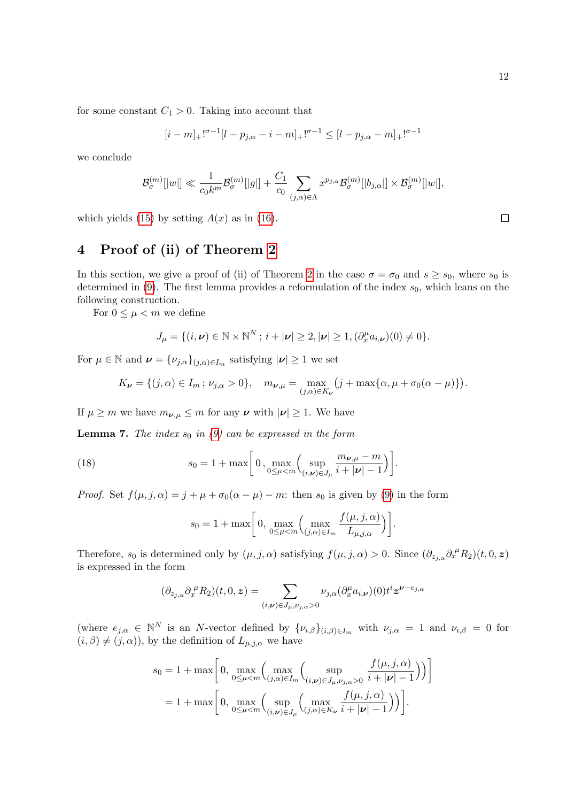for some constant  $C_1 > 0$ . Taking into account that

$$
[i-m]_+]^{\sigma-1}[l-p_{j,\alpha}-i-m]_+]^{\sigma-1} \leq [l-p_{j,\alpha}-m]_+]^{\sigma-1}
$$

we conclude

$$
\mathcal{B}_{\sigma}^{(m)}[|w|] \ll \frac{1}{c_0k^m}\mathcal{B}_{\sigma}^{(m)}[|g|] + \frac{C_1}{c_0}\sum_{(j,\alpha)\in\Lambda}x^{p_{j,\alpha}}\mathcal{B}_{\sigma}^{(m)}[|b_{j,\alpha}|] \times \mathcal{B}_{\sigma}^{(m)}[|w|],
$$

which yields [\(15\)](#page-10-1) by setting  $A(x)$  as in [\(16\)](#page-10-2).

# <span id="page-11-0"></span>4 Proof of (ii) of Theorem [2](#page-5-1)

In this section, we give a proof of (ii) of Theorem [2](#page-5-1) in the case  $\sigma = \sigma_0$  and  $s \geq s_0$ , where  $s_0$  is determined in  $(9)$ . The first lemma provides a reformulation of the index  $s_0$ , which leans on the following construction.

For  $0 \leq \mu < m$  we define

$$
J_{\mu} = \{ (i, \nu) \in \mathbb{N} \times \mathbb{N}^N \, ; \, i + |\nu| \geq 2, |\nu| \geq 1, (\partial_x^{\mu} a_{i, \nu})(0) \neq 0 \}.
$$

For  $\mu \in \mathbb{N}$  and  $\boldsymbol{\nu} = {\{\nu_{j,\alpha}\}}_{(j,\alpha)\in I_m}$  satisfying  $|\boldsymbol{\nu}| \geq 1$  we set

$$
K_{\nu} = \{ (j, \alpha) \in I_m : \nu_{j, \alpha} > 0 \}, \quad m_{\nu, \mu} = \max_{(j, \alpha) \in K_{\nu}} \left( j + \max \{ \alpha, \mu + \sigma_0(\alpha - \mu) \} \right).
$$

If  $\mu \geq m$  we have  $m_{\nu,\mu} \leq m$  for any  $\nu$  with  $|\nu| \geq 1$ . We have

<span id="page-11-2"></span>**Lemma 7.** The index  $s_0$  in [\(9\)](#page-5-5) can be expressed in the form

(18) 
$$
s_0 = 1 + \max \bigg[ 0, \max_{0 \le \mu < m} \Big( \sup_{(i,\nu) \in J_\mu} \frac{m_{\nu,\mu} - m}{i + |\nu| - 1} \Big) \bigg].
$$

*Proof.* Set  $f(\mu, j, \alpha) = j + \mu + \sigma_0(\alpha - \mu) - m$ : then  $s_0$  is given by [\(9\)](#page-5-5) in the form

<span id="page-11-1"></span>
$$
s_0 = 1 + \max\bigg[0, \max_{0 \le \mu < m} \left(\max_{(j,\alpha) \in I_m} \frac{f(\mu, j, \alpha)}{L_{\mu,j,\alpha}}\right)\bigg].
$$

Therefore,  $s_0$  is determined only by  $(\mu, j, \alpha)$  satisfying  $f(\mu, j, \alpha) > 0$ . Since  $(\partial_{z_{j,\alpha}} \partial_x^{\mu} R_2)(t, 0, z)$ is expressed in the form

$$
(\partial_{z_{j,\alpha}}\partial_x^{\mu}R_2)(t,0,\boldsymbol{z})=\sum_{(i,\boldsymbol{\nu})\in J_{\mu}, \nu_{j,\alpha}>0}\nu_{j,\alpha}(\partial_x^{\mu}a_{i,\boldsymbol{\nu}})(0)t^i\boldsymbol{z}^{\boldsymbol{\nu}-e_{j,\alpha}}
$$

(where  $e_{j,\alpha} \in \mathbb{N}^N$  is an N-vector defined by  $\{\nu_{i,\beta}\}_{(i,\beta)\in I_m}$  with  $\nu_{j,\alpha} = 1$  and  $\nu_{i,\beta} = 0$  for  $(i, \beta) \neq (j, \alpha)$ , by the definition of  $L_{\mu,j,\alpha}$  we have

$$
s_0 = 1 + \max\left[0, \max_{0 \le \mu < m} \left(\max_{(j,\alpha) \in I_m} \left(\sup_{(i,\nu) \in J_\mu, \nu_{j,\alpha} > 0} \frac{f(\mu,j,\alpha)}{i+|\nu|-1}\right)\right)\right]
$$
\n
$$
= 1 + \max\left[0, \max_{0 \le \mu < m} \left(\sup_{(i,\nu) \in J_\mu} \left(\max_{(j,\alpha) \in K_\nu} \frac{f(\mu,j,\alpha)}{i+|\nu|-1}\right)\right)\right].
$$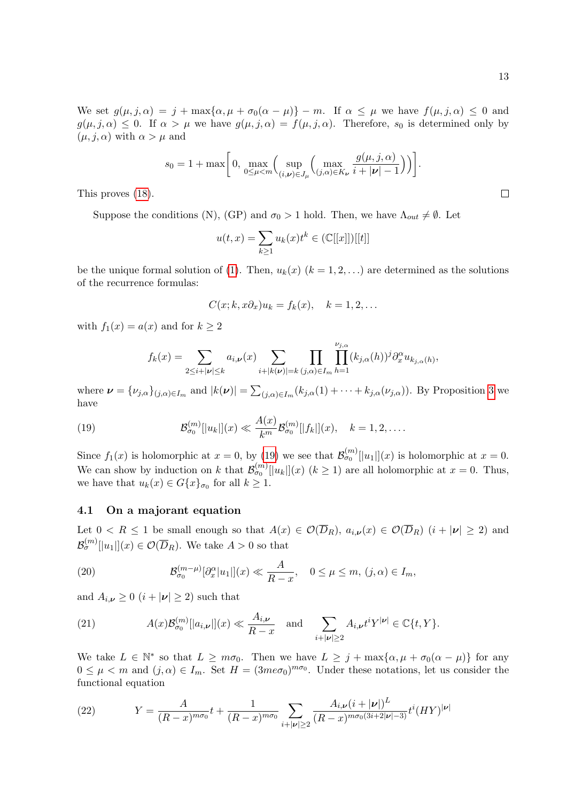$\Box$ 

We set  $g(\mu, j, \alpha) = j + \max{\alpha, \mu + \sigma_0(\alpha - \mu)} - m$ . If  $\alpha \leq \mu$  we have  $f(\mu, j, \alpha) \leq 0$  and  $g(\mu, j, \alpha) \leq 0$ . If  $\alpha > \mu$  we have  $g(\mu, j, \alpha) = f(\mu, j, \alpha)$ . Therefore,  $s_0$  is determined only by  $(\mu, j, \alpha)$  with  $\alpha > \mu$  and

$$
s_0 = 1 + \max\bigg[0, \max_{0 \le \mu < m} \left( \sup_{(i,\boldsymbol{\nu}) \in J_{\mu}} \left( \max_{(j,\alpha) \in K_{\boldsymbol{\nu}}} \frac{g(\mu,j,\alpha)}{i+|\boldsymbol{\nu}|-1} \right) \right) \bigg].
$$

This proves [\(18\)](#page-11-1).

Suppose the conditions (N), (GP) and  $\sigma_0 > 1$  hold. Then, we have  $\Lambda_{out} \neq \emptyset$ . Let

$$
u(t,x) = \sum_{k \ge 1} u_k(x) t^k \in (\mathbb{C}[[x]])[[t]]
$$

be the unique formal solution of [\(1\)](#page-1-0). Then,  $u_k(x)$  ( $k = 1, 2, ...$ ) are determined as the solutions of the recurrence formulas:

$$
C(x;k,x\partial_x)u_k = f_k(x), \quad k = 1,2,\ldots
$$

with  $f_1(x) = a(x)$  and for  $k \ge 2$ 

<span id="page-12-0"></span>
$$
f_k(x) = \sum_{2 \leq i+|\nu| \leq k} a_{i,\nu}(x) \sum_{i+|k(\nu)|=k} \prod_{(j,\alpha) \in I_m} \prod_{h=1}^{\nu_{j,\alpha}} (k_{j,\alpha}(h))^j \partial_x^{\alpha} u_{k_{j,\alpha}(h)},
$$

where  $\boldsymbol{\nu} = {\{\nu_{j,\alpha}\}}_{(j,\alpha)\in I_m}$  and  $|k(\boldsymbol{\nu})| = \sum_{(j,\alpha)\in I_m} (k_{j,\alpha}(1) + \cdots + k_{j,\alpha}(\nu_{j,\alpha}))$ . By Proposition [3](#page-10-3) we have

(19) 
$$
\mathcal{B}_{\sigma_0}^{(m)}[|u_k|](x) \ll \frac{A(x)}{k^m} \mathcal{B}_{\sigma_0}^{(m)}[|f_k|](x), \quad k = 1, 2, \ldots.
$$

Since  $f_1(x)$  is holomorphic at  $x = 0$ , by [\(19\)](#page-12-0) we see that  $\mathcal{B}_{\sigma_0}^{(m)}[[u_1]](x)$  is holomorphic at  $x = 0$ . We can show by induction on k that  $\mathcal{B}_{\sigma_0}^{(m)}[[u_k]](x)$   $(k \ge 1)$  are all holomorphic at  $x = 0$ . Thus, we have that  $u_k(x) \in G\{x\}_{\sigma_0}$  for all  $k \geq 1$ .

#### 4.1 On a majorant equation

Let  $0 < R \le 1$  be small enough so that  $A(x) \in \mathcal{O}(\overline{D}_R)$ ,  $a_{i,\nu}(x) \in \mathcal{O}(\overline{D}_R)$   $(i + |\nu| \ge 2)$  and  $\mathcal{B}_{\sigma}^{(m)}[|u_1|](x) \in \mathcal{O}(\overline{D}_R)$ . We take  $A > 0$  so that

<span id="page-12-2"></span>(20) 
$$
\mathcal{B}_{\sigma_0}^{(m-\mu)}[\partial_x^{\alpha}|u_1|](x) \ll \frac{A}{R-x}, \quad 0 \le \mu \le m, (j,\alpha) \in I_m,
$$

and  $A_{i,\nu} \geq 0$   $(i + |\nu| \geq 2)$  such that

<span id="page-12-3"></span>(21) 
$$
A(x)\mathcal{B}_{\sigma_0}^{(m)}[|a_{i,\nu}|](x) \ll \frac{A_{i,\nu}}{R-x}
$$
 and  $\sum_{i+|\nu|\geq 2} A_{i,\nu}t^iY^{|\nu|} \in \mathbb{C}\{t, Y\}.$ 

We take  $L \in \mathbb{N}^*$  so that  $L \geq m\sigma_0$ . Then we have  $L \geq j + \max\{\alpha, \mu + \sigma_0(\alpha - \mu)\}\)$  for any  $0 \leq \mu < m$  and  $(j, \alpha) \in I_m$ . Set  $H = (3me\sigma_0)^{m\sigma_0}$ . Under these notations, let us consider the functional equation

<span id="page-12-1"></span>(22) 
$$
Y = \frac{A}{(R-x)^{m\sigma_0}}t + \frac{1}{(R-x)^{m\sigma_0}}\sum_{i+|\nu|\geq 2}\frac{A_{i,\nu}(i+|\nu|)^{L}}{(R-x)^{m\sigma_0(3i+2|\nu|-3)}}t^{i}(HY)^{|\nu|}
$$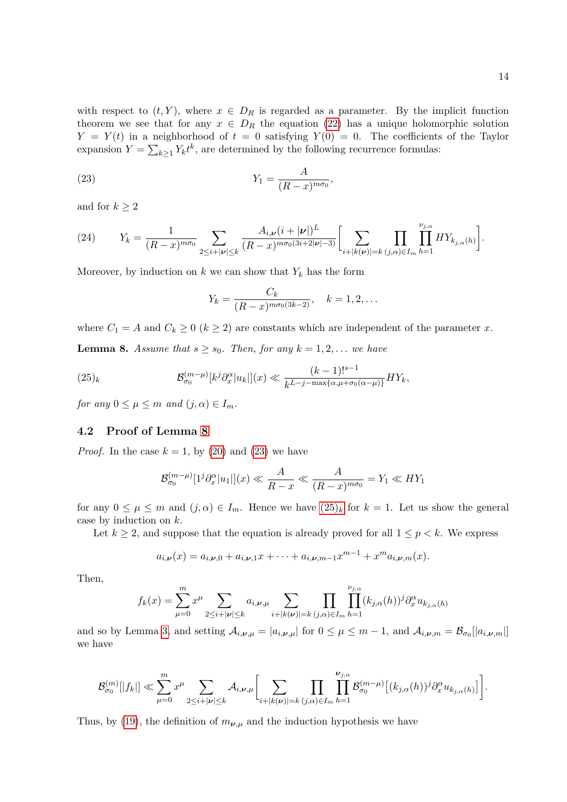with respect to  $(t, Y)$ , where  $x \in D_R$  is regarded as a parameter. By the implicit function theorem we see that for any  $x \in D_R$  the equation [\(22\)](#page-12-1) has a unique holomorphic solution  $Y = Y(t)$  in a neighborhood of  $t = 0$  satisfying  $Y(0) = 0$ . The coefficients of the Taylor expansion  $Y = \sum_{k\geq 1} Y_k t^k$ , are determined by the following recurrence formulas:

$$
Y_1 = \frac{A}{(R-x)^{m\sigma_0}},
$$

and for  $k \geq 2$ 

<span id="page-13-3"></span>(24) 
$$
Y_k = \frac{1}{(R-x)^{m\sigma_0}} \sum_{2 \leq i+|\nu| \leq k} \frac{A_{i,\nu} (i+|\nu|)^L}{(R-x)^{m\sigma_0(3i+2|\nu|-3)}} \left[ \sum_{i+|k(\nu)|=k} \prod_{(j,\alpha)\in I_m} \prod_{h=1}^{\nu_{j,\alpha}} HY_{k_{j,\alpha}(h)} \right].
$$

Moreover, by induction on  $k$  we can show that  $Y_k$  has the form

<span id="page-13-1"></span>
$$
Y_k = \frac{C_k}{(R-x)^{m\sigma_0(3k-2)}}, \quad k = 1, 2, \dots
$$

where  $C_1 = A$  and  $C_k \geq 0$  ( $k \geq 2$ ) are constants which are independent of the parameter x.

<span id="page-13-0"></span>**Lemma 8.** Assume that  $s \geq s_0$ . Then, for any  $k = 1, 2, ...$  we have

<span id="page-13-2"></span>(25)<sub>k</sub> 
$$
\mathcal{B}_{\sigma_0}^{(m-\mu)}[k^j \partial_x^{\alpha}|u_k|](x) \ll \frac{(k-1)!^{s-1}}{k^{L-j-\max\{\alpha,\mu+\sigma_0(\alpha-\mu)\}}}HY_k,
$$

for any  $0 \leq \mu \leq m$  and  $(j, \alpha) \in I_m$ .

#### 4.2 Proof of Lemma [8](#page-13-0)

*Proof.* In the case  $k = 1$ , by [\(20\)](#page-12-2) and [\(23\)](#page-13-1) we have

$$
\mathcal{B}_{\sigma_0}^{(m-\mu)}[1^j\partial_x^{\alpha}|u_1|](x) \ll \frac{A}{R-x} \ll \frac{A}{(R-x)^{m\sigma_0}} = Y_1 \ll HY_1
$$

for any  $0 \le \mu \le m$  and  $(j, \alpha) \in I_m$ . Hence we have  $(25)_k$  for  $k = 1$ . Let us show the general case by induction on k.

Let  $k \geq 2$ , and suppose that the equation is already proved for all  $1 \leq p \leq k$ . We express

$$
a_{i,\nu}(x) = a_{i,\nu,0} + a_{i,\nu,1}x + \cdots + a_{i,\nu,m-1}x^{m-1} + x^m a_{i,\nu,m}(x).
$$

Then,

$$
f_k(x) = \sum_{\mu=0}^m x^{\mu} \sum_{2 \leq i+|\nu| \leq k} a_{i,\nu,\mu} \sum_{i+|k(\nu)|=k} \prod_{(j,\alpha) \in I_m} \prod_{h=1}^{\nu_{j,\alpha}} (k_{j,\alpha}(h))^j \partial_x^{\alpha} u_{k_{j,\alpha}(h)}
$$

and so by Lemma [3,](#page-7-0) and setting  $\mathcal{A}_{i,\nu,\mu} = |a_{i,\nu,\mu}|$  for  $0 \le \mu \le m-1$ , and  $\mathcal{A}_{i,\nu,m} = \mathcal{B}_{\sigma_0}[|a_{i,\nu,m}|]$ we have

$$
\mathcal{B}_{\sigma_0}^{(m)}[|f_k|] \ll \sum_{\mu=0}^m x^\mu \sum_{2 \leq i+|\nu| \leq k} \mathcal{A}_{i,\nu,\mu} \bigg[ \sum_{i+|k(\nu)|=k} \prod_{(j,\alpha)\in I_m} \prod_{h=1}^{\nu_{j,\alpha}} \mathcal{B}_{\sigma_0}^{(m-\mu)} \big[ (k_{j,\alpha}(h))^j \partial_x^{\alpha} u_{k_{j,\alpha}(h)} \big] \bigg].
$$

Thus, by [\(19\)](#page-12-0), the definition of  $m_{\nu,\mu}$  and the induction hypothesis we have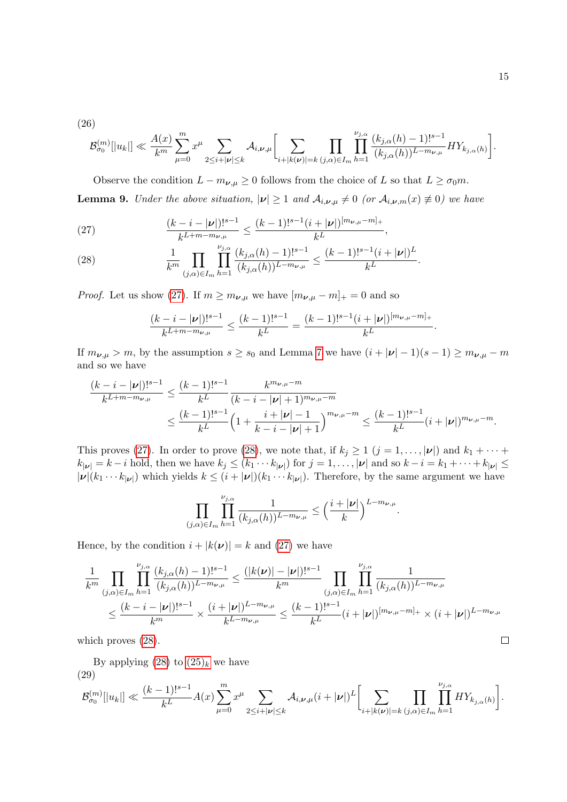(26)

$$
\mathcal{B}_{\sigma_0}^{(m)}[|u_k|] \ll \frac{A(x)}{k^m} \sum_{\mu=0}^m x^{\mu} \sum_{2 \leq i+|\nu| \leq k} \mathcal{A}_{i,\nu,\mu} \Biggl[ \sum_{i+|k(\nu)|=k} \prod_{(j,\alpha) \in I_m} \prod_{h=1}^{\nu_{j,\alpha}} \frac{(k_{j,\alpha}(h)-1)!^{s-1}}{(k_{j,\alpha}(h))^{L-m_{\nu,\mu}}} H Y_{k_{j,\alpha}(h)} \Biggr].
$$

Observe the condition  $L - m_{\nu,\mu} \geq 0$  follows from the choice of L so that  $L \geq \sigma_0 m$ . **Lemma 9.** Under the above situation,  $|\nu| \ge 1$  and  $\mathcal{A}_{i,\nu,\mu} \ne 0$  (or  $\mathcal{A}_{i,\nu,m}(x) \ne 0$ ) we have

<span id="page-14-0"></span>(27) 
$$
\frac{(k-i-|\nu|)!^{s-1}}{k^{L+m-m_{\nu,\mu}}} \leq \frac{(k-1)!^{s-1}(i+|\nu|)^{[m_{\nu,\mu}-m]_+}}{k^L},
$$

<span id="page-14-1"></span>(28) 
$$
\frac{1}{k^m} \prod_{(j,\alpha)\in I_m} \prod_{h=1}^{\nu_{j,\alpha}} \frac{(k_{j,\alpha}(h)-1)!^{s-1}}{(k_{j,\alpha}(h))^{L-m_{\nu,\mu}}} \leq \frac{(k-1)!^{s-1}(i+|\nu|)^L}{k^L}.
$$

*Proof.* Let us show [\(27\)](#page-14-0). If  $m \ge m_{\nu,\mu}$  we have  $[m_{\nu,\mu} - m]_+ = 0$  and so

$$
\frac{(k-i-|\pmb{\nu}|)!^{s-1}}{k^{L+m-m_{\pmb{\nu},\mu}}} \leq \frac{(k-1)!^{s-1}}{k^L} = \frac{(k-1)!^{s-1}(i+|\pmb{\nu}|)^{[m_{\pmb{\nu},\mu}-m]_+}}{k^L}.
$$

If  $m_{\nu,\mu} > m$ , by the assumption  $s \ge s_0$  and Lemma [7](#page-11-2) we have  $(i + |\nu| - 1)(s - 1) \ge m_{\nu,\mu} - m$ and so we have

$$
\frac{(k-i-|\nu|)!^{s-1}}{k^{L+m-m_{\nu,\mu}}} \le \frac{(k-1)!^{s-1}}{k^L} \frac{k^{m_{\nu,\mu}-m}}{(k-i-|\nu|+1)^{m_{\nu,\mu}-m}} \le \frac{(k-1)!^{s-1}}{k^L} \left(1+\frac{i+|\nu|-1}{k-i-|\nu|+1}\right)^{m_{\nu,\mu}-m} \le \frac{(k-1)!^{s-1}}{k^L} (i+|\nu|)^{m_{\nu,\mu}-m}.
$$

This proves [\(27\)](#page-14-0). In order to prove [\(28\)](#page-14-1), we note that, if  $k_j \ge 1$   $(j = 1, ..., |\nu|)$  and  $k_1 + \cdots +$  $k_{|\nu|} = k - i$  hold, then we have  $k_j \leq (k_1 \cdots k_{|\nu|})$  for  $j = 1, \ldots, |\nu|$  and so  $k - i = k_1 + \cdots + k_{|\nu|} \leq$  $|\nu|(k_1 \cdots k_{|\nu|})$  which yields  $k \leq (i+|\nu|)(k_1 \cdots k_{|\nu|})$ . Therefore, by the same argument we have

$$
\prod_{(j,\alpha)\in I_m}\prod_{h=1}^{\nu_{j,\alpha}}\frac{1}{(k_{j,\alpha}(h))^{L-m_{\nu,\mu}}}\leq \Big(\frac{i+|\nu|}{k}\Big)^{L-m_{\nu,\mu}}.
$$

Hence, by the condition  $i + |k(\nu)| = k$  and [\(27\)](#page-14-0) we have

$$
\frac{1}{k^{m}} \prod_{(j,\alpha)\in I_{m}} \prod_{h=1}^{\nu_{j,\alpha}} \frac{(k_{j,\alpha}(h)-1)!^{s-1}}{(k_{j,\alpha}(h))^{L-m_{\nu,\mu}}} \leq \frac{(|k(\nu)|-|\nu|)!^{s-1}}{k^{m}} \prod_{(j,\alpha)\in I_{m}} \prod_{h=1}^{\nu_{j,\alpha}} \frac{1}{(k_{j,\alpha}(h))^{L-m_{\nu,\mu}}} \n\leq \frac{(k-i-|\nu|)!^{s-1}}{k^{m}} \times \frac{(i+|\nu|)^{L-m_{\nu,\mu}}}{k^{L-m_{\nu,\mu}}} \leq \frac{(k-1)!^{s-1}}{k^{L}} (i+|\nu|)^{[m_{\nu,\mu}-m]_{+}} \times (i+|\nu|)^{L-m_{\nu,\mu}} \n\text{hich proves (28).} \qquad \Box
$$

which proves  $(28)$ .

By applying  $(28)$  to  $(25)_k$  we have (29)

<span id="page-14-2"></span>
$$
\mathcal{B}_{\sigma_0}^{(m)}[|u_k|] \ll \frac{(k-1)!^{s-1}}{k^L} A(x) \sum_{\mu=0}^m x^\mu \sum_{2 \leq i+|\nu| \leq k} A_{i,\nu,\mu} (i+|\nu|)^L \bigg[ \sum_{i+|k(\nu)|=k} \prod_{(j,\alpha) \in I_m} \prod_{h=1}^{\nu_{j,\alpha}} HY_{k_{j,\alpha}(h)} \bigg].
$$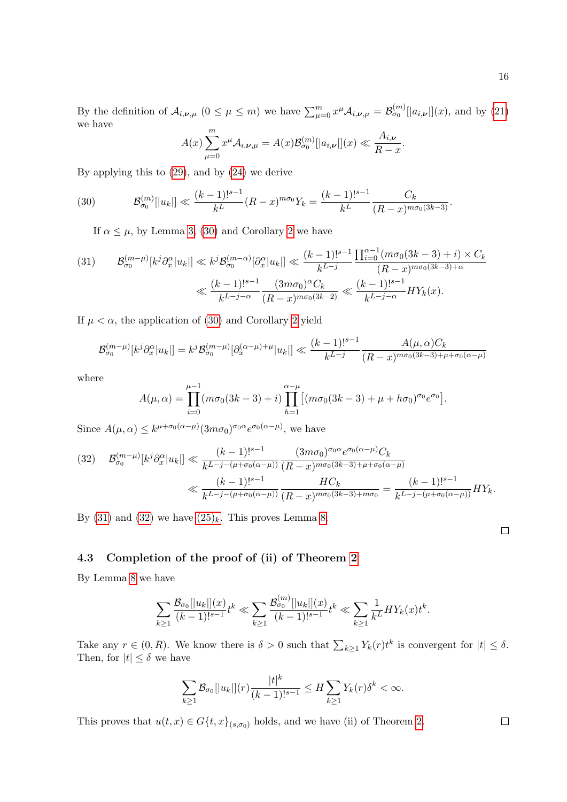By the definition of  $\mathcal{A}_{i,\nu,\mu}$   $(0 \le \mu \le m)$  we have  $\sum_{\mu=0}^{m} x^{\mu} \mathcal{A}_{i,\nu,\mu} = \mathcal{B}_{\sigma_0}^{(m)}[[a_{i,\nu}]](x)$ , and by [\(21\)](#page-12-3) we have  $\mathfrak{m}$ 

$$
A(x)\sum_{\mu=0}^m x^{\mu} A_{i,\nu,\mu} = A(x)\mathcal{B}_{\sigma_0}^{(m)}[|a_{i,\nu}|](x) \ll \frac{A_{i,\nu}}{R-x}.
$$

By applying this to [\(29\)](#page-14-2), and by [\(24\)](#page-13-3) we derive

(30) 
$$
\mathcal{B}_{\sigma_0}^{(m)}[|u_k|] \ll \frac{(k-1)!^{s-1}}{k^L}(R-x)^{m\sigma_0}Y_k = \frac{(k-1)!^{s-1}}{k^L}\frac{C_k}{(R-x)^{m\sigma_0(3k-3)}}.
$$

<span id="page-15-0"></span>If  $\alpha \leq \mu$ , by Lemma [3,](#page-7-0) [\(30\)](#page-15-0) and Corollary [2](#page-8-3) we have

<span id="page-15-1"></span>
$$
(31) \qquad \mathcal{B}_{\sigma_0}^{(m-\mu)}[k^j\partial_x^{\alpha}|u_k]] \ll k^j \mathcal{B}_{\sigma_0}^{(m-\alpha)}[\partial_x^{\alpha}|u_k]] \ll \frac{(k-1)!^{s-1}}{k^{L-j}} \frac{\prod_{i=0}^{\alpha-1} (m\sigma_0(3k-3)+i) \times C_k}{(R-x)^{m\sigma_0(3k-3)+\alpha}} \ll \frac{(k-1)!^{s-1}}{k^{L-j-\alpha}} \frac{(3m\sigma_0)^{\alpha}C_k}{(R-x)^{m\sigma_0(3k-2)}} \ll \frac{(k-1)!^{s-1}}{k^{L-j-\alpha}} HY_k(x).
$$

If  $\mu < \alpha$ , the application of [\(30\)](#page-15-0) and Corollary [2](#page-8-3) yield

$$
\mathcal{B}_{\sigma_0}^{(m-\mu)}[k^j \partial_x^{\alpha}|u_k|] = k^j \mathcal{B}_{\sigma_0}^{(m-\mu)}[\partial_x^{(\alpha-\mu)+\mu}|u_k|] \ll \frac{(k-1)!^{s-1}}{k^{L-j}} \frac{A(\mu, \alpha)C_k}{(R-x)^{m\sigma_0(3k-3)+\mu+\sigma_0(\alpha-\mu)}}
$$

where

$$
A(\mu,\alpha) = \prod_{i=0}^{\mu-1} (m\sigma_0(3k-3)+i) \prod_{h=1}^{\alpha-\mu} [(m\sigma_0(3k-3)+\mu+h\sigma_0)^{\sigma_0}e^{\sigma_0}].
$$

Since  $A(\mu, \alpha) \leq k^{\mu+\sigma_0(\alpha-\mu)} (3m\sigma_0)^{\sigma_0\alpha} e^{\sigma_0(\alpha-\mu)}$ , we have

<span id="page-15-2"></span>
$$
(32) \quad \mathcal{B}_{\sigma_0}^{(m-\mu)}[k^j\partial_x^{\alpha}|u_k|] \ll \frac{(k-1)!^{s-1}}{k^{L-j-(\mu+\sigma_0(\alpha-\mu))}}\frac{(3m\sigma_0)^{\sigma_0\alpha}e^{\sigma_0(\alpha-\mu)}C_k}{(R-x)^{m\sigma_0(3k-3)+\mu+\sigma_0(\alpha-\mu)}}\n\ll \frac{(k-1)!^{s-1}}{k^{L-j-(\mu+\sigma_0(\alpha-\mu))}}\frac{HC_k}{(R-x)^{m\sigma_0(3k-3)+m\sigma_0}} = \frac{(k-1)!^{s-1}}{k^{L-j-(\mu+\sigma_0(\alpha-\mu))}}HY_k.
$$

By [\(31\)](#page-15-1) and [\(32\)](#page-15-2) we have  $(25)_k$ . This proves Lemma [8.](#page-13-0)

 $\Box$ 

### 4.3 Completion of the proof of (ii) of Theorem [2](#page-5-1)

By Lemma [8](#page-13-0) we have

$$
\sum_{k\geq 1}\frac{\mathcal{B}_{\sigma_0}[|u_k|](x)}{(k-1)!^{s-1}}t^k \ll \sum_{k\geq 1}\frac{\mathcal{B}_{\sigma_0}^{(m)}[|u_k|](x)}{(k-1)!^{s-1}}t^k \ll \sum_{k\geq 1}\frac{1}{k^L}HY_k(x)t^k.
$$

Take any  $r \in (0, R)$ . We know there is  $\delta > 0$  such that  $\sum_{k \geq 1} Y_k(r) t^k$  is convergent for  $|t| \leq \delta$ . Then, for  $|t| \leq \delta$  we have

$$
\sum_{k\geq 1} \mathcal{B}_{\sigma_0}[|u_k|](r) \frac{|t|^k}{(k-1)!^{s-1}} \leq H \sum_{k\geq 1} Y_k(r) \delta^k < \infty.
$$

This proves that  $u(t, x) \in G\{t, x\}_{(s, \sigma_0)}$  holds, and we have (ii) of Theorem [2.](#page-5-1)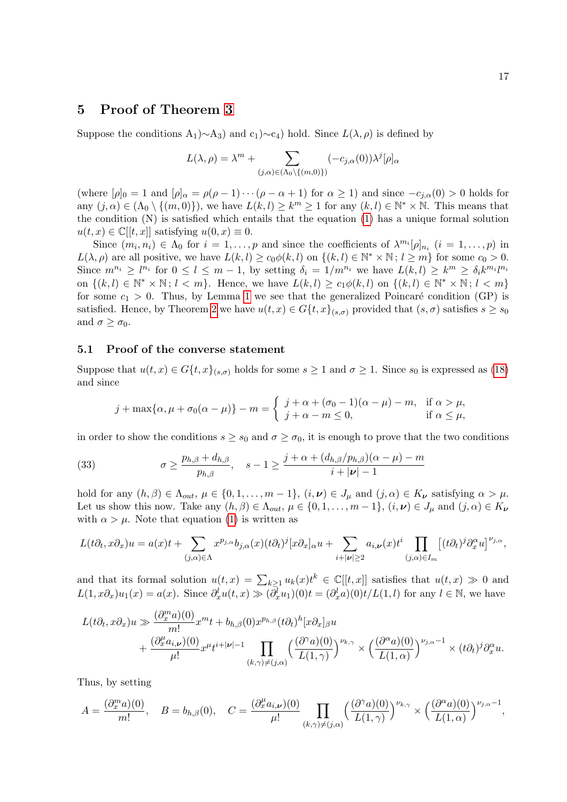# <span id="page-16-0"></span>5 Proof of Theorem [3](#page-5-2)

Suppose the conditions  $A_1$ )∼ $A_3$ ) and c<sub>1</sub>)∼c<sub>4</sub>) hold. Since  $L(\lambda, \rho)$  is defined by

$$
L(\lambda, \rho) = \lambda^m + \sum_{(j,\alpha) \in (\Lambda_0 \setminus \{(m,0)\})} (-c_{j,\alpha}(0)) \lambda^j [\rho]_{\alpha}
$$

(where  $[\rho]_0 = 1$  and  $[\rho]_{\alpha} = \rho(\rho - 1) \cdots (\rho - \alpha + 1)$  for  $\alpha \ge 1$ ) and since  $-c_{i,\alpha}(0) > 0$  holds for any  $(j, \alpha) \in (\Lambda_0 \setminus \{(m, 0)\})$ , we have  $L(k, l) \geq k^m \geq 1$  for any  $(k, l) \in \mathbb{N}^* \times \mathbb{N}$ . This means that the condition (N) is satisfied which entails that the equation [\(1\)](#page-1-0) has a unique formal solution  $u(t, x) \in \mathbb{C}[[t, x]]$  satisfying  $u(0, x) \equiv 0$ .

Since  $(m_i, n_i) \in \Lambda_0$  for  $i = 1, \ldots, p$  and since the coefficients of  $\lambda^{m_i}[\rho]_{n_i}$   $(i = 1, \ldots, p)$  in  $L(\lambda, \rho)$  are all positive, we have  $L(k, l) \ge c_0 \phi(k, l)$  on  $\{(k, l) \in \mathbb{N}^* \times \mathbb{N}; l \ge m\}$  for some  $c_0 > 0$ . Since  $m^{n_i} \geq l^{n_i}$  for  $0 \leq l \leq m-1$ , by setting  $\delta_i = 1/m^{n_i}$  we have  $L(k, l) \geq k^m \geq \delta_i k^{m_i} l^{n_i}$ on  $\{(k, l) \in \mathbb{N}^* \times \mathbb{N}; l < m\}$ . Hence, we have  $L(k, l) \geq c_1 \phi(k, l)$  on  $\{(k, l) \in \mathbb{N}^* \times \mathbb{N}; l < m\}$ for some  $c_1 > 0$ . Thus, by Lemma [1](#page-4-5) we see that the generalized Poincaré condition (GP) is satisfied. Hence, by Theorem [2](#page-5-1) we have  $u(t,x) \in G\{t,x\}_{(s,\sigma)}$  provided that  $(s,\sigma)$  satisfies  $s \geq s_0$ and  $\sigma \geq \sigma_0$ .

#### 5.1 Proof of the converse statement

Suppose that  $u(t, x) \in G\{t, x\}_{(s, \sigma)}$  holds for some  $s \ge 1$  and  $\sigma \ge 1$ . Since  $s_0$  is expressed as [\(18\)](#page-11-1) and since

<span id="page-16-1"></span>
$$
j + \max\{\alpha, \mu + \sigma_0(\alpha - \mu)\} - m = \begin{cases} j + \alpha + (\sigma_0 - 1)(\alpha - \mu) - m, & \text{if } \alpha > \mu, \\ j + \alpha - m \le 0, & \text{if } \alpha \le \mu, \end{cases}
$$

in order to show the conditions  $s \geq s_0$  and  $\sigma \geq \sigma_0$ , it is enough to prove that the two conditions

(33) 
$$
\sigma \ge \frac{p_{h,\beta} + d_{h,\beta}}{p_{h,\beta}}, \quad s - 1 \ge \frac{j + \alpha + (d_{h,\beta}/p_{h,\beta})(\alpha - \mu) - m}{i + |\nu| - 1}
$$

hold for any  $(h, \beta) \in \Lambda_{out}$ ,  $\mu \in \{0, 1, \ldots, m-1\}$ ,  $(i, \nu) \in J_{\mu}$  and  $(j, \alpha) \in K_{\nu}$  satisfying  $\alpha > \mu$ . Let us show this now. Take any  $(h, \beta) \in \Lambda_{out}$ ,  $\mu \in \{0, 1, \ldots, m-1\}$ ,  $(i, \nu) \in J_{\mu}$  and  $(j, \alpha) \in K_{\nu}$ with  $\alpha > \mu$ . Note that equation [\(1\)](#page-1-0) is written as

$$
L(t\partial_t, x\partial_x)u = a(x)t + \sum_{(j,\alpha)\in\Lambda} x^{p_{j,\alpha}}b_{j,\alpha}(x)(t\partial_t)^j [x\partial_x]_{\alpha}u + \sum_{i+|\nu|\geq 2} a_{i,\nu}(x)t^i \prod_{(j,\alpha)\in I_m} [(t\partial_t)^j \partial_x^{\alpha}u]^{\nu_{j,\alpha}},
$$

and that its formal solution  $u(t,x) = \sum_{k\geq 1} u_k(x)t^k \in \mathbb{C}[[t,x]]$  satisfies that  $u(t,x) \gg 0$  and  $L(1, x\partial_x)u_1(x) = a(x)$ . Since  $\partial_x^l u(t, x) \gg (\overline{\partial}_x^l u_1)(0) t = (\partial_x^l a)(0) t/L(1, l)$  for any  $l \in \mathbb{N}$ , we have

$$
\begin{aligned} L(t\partial_t,x\partial_x)u \gg & \frac{(\partial_x^m a)(0)}{m!}x^m t + b_{h,\beta}(0)x^{p_{h,\beta}}(t\partial_t)^h [x\partial_x]_{\beta}u \\ & + \frac{(\partial_x^{\mu}a_{i,\nu})(0)}{\mu!}x^{\mu}t^{i+|\nu|-1}\prod_{(k,\gamma)\neq (j,\alpha)}\Big(\frac{(\partial^{\gamma}a)(0)}{L(1,\gamma)}\Big)^{\nu_{k,\gamma}} \times \Big(\frac{(\partial^{\alpha}a)(0)}{L(1,\alpha)}\Big)^{\nu_{j,\alpha}-1}\times (t\partial_t)^j\partial_x^{\alpha}u. \end{aligned}
$$

Thus, by setting

$$
A = \frac{(\partial_x^m a)(0)}{m!}, \quad B = b_{h,\beta}(0), \quad C = \frac{(\partial_x^{\mu} a_{i,\nu})(0)}{\mu!} \prod_{(k,\gamma) \neq (j,\alpha)} \left(\frac{(\partial^{\gamma} a)(0)}{L(1,\gamma)}\right)^{\nu_{k,\gamma}} \times \left(\frac{(\partial^{\alpha} a)(0)}{L(1,\alpha)}\right)^{\nu_{j,\alpha}-1},
$$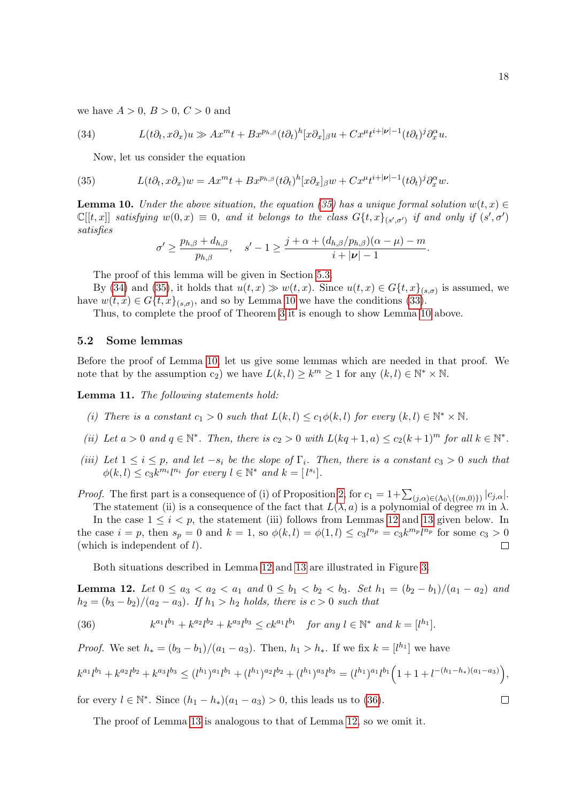we have  $A > 0$ ,  $B > 0$ ,  $C > 0$  and

(34) 
$$
L(t\partial_t, x\partial_x)u \gg Ax^{m}t + Bx^{p_{h,\beta}}(t\partial_t)^h[x\partial_x]_{\beta}u + Cx^{\mu}t^{i+|\nu|-1}(t\partial_t)^j\partial_x^{\alpha}u.
$$

<span id="page-17-1"></span><span id="page-17-0"></span>Now, let us consider the equation

(35) 
$$
L(t\partial_t, x\partial_x)w = Ax^m t + Bx^{p_{h,\beta}}(t\partial_t)^h [x\partial_x]_{\beta}w + Cx^{\mu}t^{i+|\nu|-1}(t\partial_t)^j \partial_x^{\alpha}w.
$$

<span id="page-17-2"></span>**Lemma 10.** Under the above situation, the equation [\(35\)](#page-17-0) has a unique formal solution  $w(t, x) \in$  $\mathbb{C}[[t,x]]$  satisfying  $w(0,x) \equiv 0$ , and it belongs to the class  $G\{t,x\}_{(s',\sigma')}$  if and only if  $(s',\sigma')$ satisfies

$$
\sigma' \geq \frac{p_{h,\beta} + d_{h,\beta}}{p_{h,\beta}}, \quad s' - 1 \geq \frac{j + \alpha + (d_{h,\beta}/p_{h,\beta})(\alpha - \mu) - m}{i + |\nu| - 1}.
$$

The proof of this lemma will be given in Section [5.3.](#page-18-0)

By [\(34\)](#page-17-1) and [\(35\)](#page-17-0), it holds that  $u(t,x) \gg w(t,x)$ . Since  $u(t,x) \in G\{t,x\}_{(s,\sigma)}$  is assumed, we have  $w(t, x) \in G\{t, x\}_{(s, \sigma)}$ , and so by Lemma [10](#page-17-2) we have the conditions [\(33\)](#page-16-1).

Thus, to complete the proof of Theorem [3](#page-5-2) it is enough to show Lemma [10](#page-17-2) above.

#### 5.2 Some lemmas

Before the proof of Lemma [10,](#page-17-2) let us give some lemmas which are needed in that proof. We note that by the assumption c<sub>2</sub>) we have  $L(k, l) \geq k^m \geq 1$  for any  $(k, l) \in \mathbb{N}^* \times \mathbb{N}$ .

<span id="page-17-5"></span>Lemma 11. The following statements hold:

- (i) There is a constant  $c_1 > 0$  such that  $L(k, l) \leq c_1 \phi(k, l)$  for every  $(k, l) \in \mathbb{N}^* \times \mathbb{N}$ .
- (ii) Let  $a > 0$  and  $q \in \mathbb{N}^*$ . Then, there is  $c_2 > 0$  with  $L(kq + 1, a) \le c_2(k+1)^m$  for all  $k \in \mathbb{N}^*$ .
- (iii) Let  $1 \leq i \leq p$ , and let  $-s_i$  be the slope of  $\Gamma_i$ . Then, there is a constant  $c_3 > 0$  such that  $\phi(k, l) \leq c_3 k^{m_i} l^{n_i}$  for every  $l \in \mathbb{N}^*$  and  $k = [l^{s_i}]$ .
- *Proof.* The first part is a consequence of (i) of Proposition [2,](#page-8-2) for  $c_1 = 1 + \sum_{(j,\alpha)\in(\Lambda_0\setminus\{(m,0)\})} |c_{j,\alpha}|$ . The statement (ii) is a consequence of the fact that  $L(\lambda, a)$  is a polynomial of degree m in  $\lambda$ .

In the case  $1 \leq i \leq p$ , the statement (iii) follows from Lemmas [12](#page-17-3) and [13](#page-18-1) given below. In the case  $i = p$ , then  $s_p = 0$  and  $k = 1$ , so  $\phi(k, l) = \phi(1, l) \leq c_3 l^{n_p} = c_3 k^{m_p} l^{n_p}$  for some  $c_3 > 0$ (which is independent of  $l$ ).  $\Box$ 

Both situations described in Lemma [12](#page-17-3) and [13](#page-18-1) are illustrated in Figure [3.](#page-18-2)

<span id="page-17-3"></span>Lemma 12. Let  $0 \le a_3 < a_2 < a_1$  and  $0 \le b_1 < b_2 < b_3$ . Set  $h_1 = (b_2 - b_1)/(a_1 - a_2)$  and  $h_2 = (b_3 - b_2)/(a_2 - a_3)$ . If  $h_1 > h_2$  holds, there is  $c > 0$  such that

<span id="page-17-4"></span>(36) 
$$
k^{a_1}l^{b_1} + k^{a_2}l^{b_2} + k^{a_3}l^{b_3} \leq ck^{a_1}l^{b_1} \text{ for any } l \in \mathbb{N}^* \text{ and } k = [l^{h_1}].
$$

*Proof.* We set  $h_* = (b_3 - b_1)/(a_1 - a_3)$ . Then,  $h_1 > h_*$ . If we fix  $k = [l^{h_1}]$  we have

$$
k^{a_1}l^{b_1} + k^{a_2}l^{b_2} + k^{a_3}l^{b_3} \le (l^{h_1})^{a_1}l^{b_1} + (l^{h_1})^{a_2}l^{b_2} + (l^{h_1})^{a_3}l^{b_3} = (l^{h_1})^{a_1}l^{b_1} \left(1 + 1 + l^{-(h_1 - h_*)(a_1 - a_3)}\right),
$$

for every  $l \in \mathbb{N}^*$ . Since  $(h_1 - h_*)(a_1 - a_3) > 0$ , this leads us to [\(36\)](#page-17-4).

The proof of Lemma [13](#page-18-1) is analogous to that of Lemma [12,](#page-17-3) so we omit it.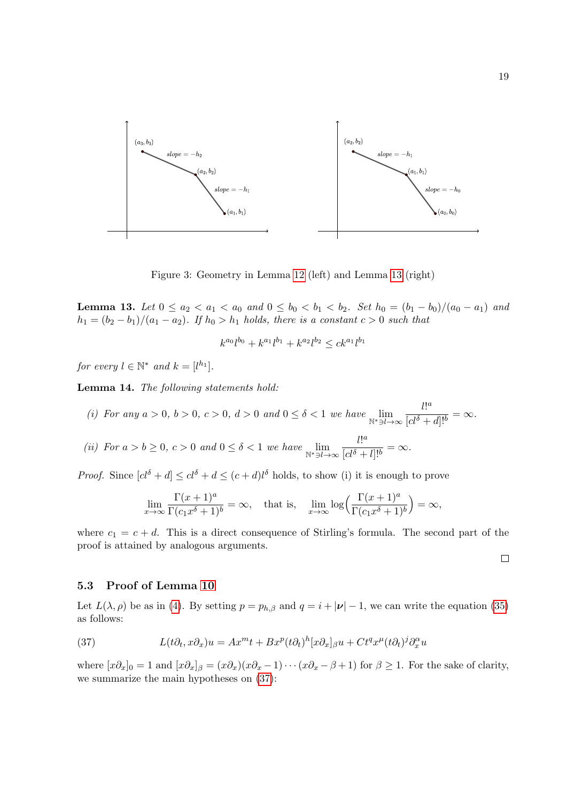

<span id="page-18-2"></span>Figure 3: Geometry in Lemma [12](#page-17-3) (left) and Lemma [13](#page-18-1) (right)

<span id="page-18-1"></span>Lemma 13. Let  $0 \le a_2 < a_1 < a_0$  and  $0 \le b_0 < b_1 < b_2$ . Set  $h_0 = (b_1 - b_0)/(a_0 - a_1)$  and  $h_1 = (b_2 - b_1)/(a_1 - a_2)$ . If  $h_0 > h_1$  holds, there is a constant  $c > 0$  such that

$$
k^{a_0}l^{b_0} + k^{a_1}l^{b_1} + k^{a_2}l^{b_2} \leq ck^{a_1}l^{b_1}
$$

for every  $l \in \mathbb{N}^*$  and  $k = [l^{h_1}]$ .

<span id="page-18-4"></span>Lemma 14. The following statements hold:

(i) For any 
$$
a > 0
$$
,  $b > 0$ ,  $c > 0$ ,  $d > 0$  and  $0 \leq \delta < 1$  we have  $\lim_{N^* \ni l \to \infty} \frac{l!^a}{[cl^{\delta} + d]!^b} = \infty$ . (ii) For  $a > b \geq 0$ ,  $c > 0$  and  $0 \leq \delta < 1$  we have  $\lim_{N^* \ni l \to \infty} \frac{l!^a}{[cl^{\delta} + l]!^b} = \infty$ .

*Proof.* Since  $[cl^{\delta} + d] \leq cl^{\delta} + d \leq (c + d)l^{\delta}$  holds, to show (i) it is enough to prove

$$
\lim_{x \to \infty} \frac{\Gamma(x+1)^a}{\Gamma(c_1 x^{\delta} + 1)^b} = \infty, \quad \text{that is,} \quad \lim_{x \to \infty} \log \left( \frac{\Gamma(x+1)^a}{\Gamma(c_1 x^{\delta} + 1)^b} \right) = \infty,
$$

where  $c_1 = c + d$ . This is a direct consequence of Stirling's formula. The second part of the proof is attained by analogous arguments.

 $\Box$ 

#### <span id="page-18-0"></span>5.3 Proof of Lemma [10](#page-17-2)

Let  $L(\lambda, \rho)$  be as in [\(4\)](#page-1-3). By setting  $p = p_{h,\beta}$  and  $q = i + |\nu| - 1$ , we can write the equation [\(35\)](#page-17-0) as follows:

<span id="page-18-3"></span>(37) 
$$
L(t\partial_t, x\partial_x)u = Ax^m t + Bx^p (t\partial_t)^h [x\partial_x]_{\beta}u + Ct^q x^{\mu} (t\partial_t)^j \partial_x^{\alpha} u
$$

where  $[x\partial_x]_0 = 1$  and  $[x\partial_x]_\beta = (x\partial_x)(x\partial_x - 1)\cdots(x\partial_x - \beta + 1)$  for  $\beta \ge 1$ . For the sake of clarity, we summarize the main hypotheses on [\(37\)](#page-18-3):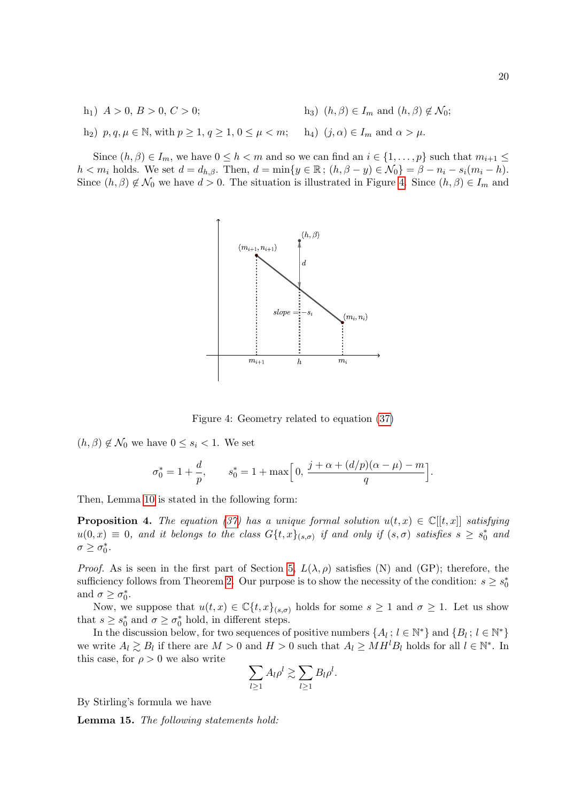h<sub>1</sub>)  $A > 0, B > 0, C > 0;$ h<sub>2</sub>)  $p, q, \mu \in \mathbb{N}$ , with  $p \ge 1$ ,  $q \ge 1$ ,  $0 \le \mu < m$ ; h<sub>4</sub>)  $(j, \alpha) \in I_m$  and  $\alpha > \mu$ . h<sub>3</sub>)  $(h, \beta) \in I_m$  and  $(h, \beta) \notin \mathcal{N}_0$ ;

Since  $(h, \beta) \in I_m$ , we have  $0 \leq h < m$  and so we can find an  $i \in \{1, \ldots, p\}$  such that  $m_{i+1} \leq$  $h < m_i$  holds. We set  $d = d_{h,\beta}$ . Then,  $d = \min\{y \in \mathbb{R}$ ;  $(h, \beta - y) \in \mathcal{N}_0\} = \beta - n_i - s_i(m_i - h)$ . Since  $(h, \beta) \notin \mathcal{N}_0$  we have  $d > 0$ . The situation is illustrated in Figure [4.](#page-19-0) Since  $(h, \beta) \in I_m$  and



<span id="page-19-0"></span>Figure 4: Geometry related to equation [\(37\)](#page-18-3)

 $(h, \beta) \notin \mathcal{N}_0$  we have  $0 \leq s_i < 1$ . We set

$$
\sigma_0^* = 1 + \frac{d}{p}, \qquad s_0^* = 1 + \max\Big[0, \, \frac{j + \alpha + (d/p)(\alpha - \mu) - m}{q}\Big].
$$

Then, Lemma [10](#page-17-2) is stated in the following form:

<span id="page-19-1"></span>**Proposition 4.** The equation [\(37\)](#page-18-3) has a unique formal solution  $u(t, x) \in \mathbb{C}[[t, x]]$  satisfying  $u(0,x) \equiv 0$ , and it belongs to the class  $G\{t,x\}_{(s,\sigma)}$  if and only if  $(s,\sigma)$  satisfies  $s \geq s_0^*$  and  $\sigma \geq \sigma_0^*$ .

*Proof.* As is seen in the first part of Section [5,](#page-16-0)  $L(\lambda, \rho)$  satisfies (N) and (GP); therefore, the sufficiency follows from Theorem [2.](#page-5-1) Our purpose is to show the necessity of the condition:  $s \geq s_0^*$ and  $\sigma \geq \sigma_0^*$ .

Now, we suppose that  $u(t, x) \in \mathbb{C}\{t, x\}_{(s,\sigma)}$  holds for some  $s \geq 1$  and  $\sigma \geq 1$ . Let us show that  $s \geq s_0^*$  and  $\sigma \geq \sigma_0^*$  hold, in different steps.

In the discussion below, for two sequences of positive numbers  $\{A_l: l \in \mathbb{N}^*\}$  and  $\{B_l: l \in \mathbb{N}^*\}$ we write  $A_l \gtrsim B_l$  if there are  $M > 0$  and  $H > 0$  such that  $A_l \geq MH^lB_l$  holds for all  $l \in \mathbb{N}^*$ . In this case, for  $\rho > 0$  we also write

$$
\sum_{l\geq 1}A_l\rho^l\gtrsim \sum_{l\geq 1}B_l\rho^l.
$$

By Stirling's formula we have

Lemma 15. The following statements hold: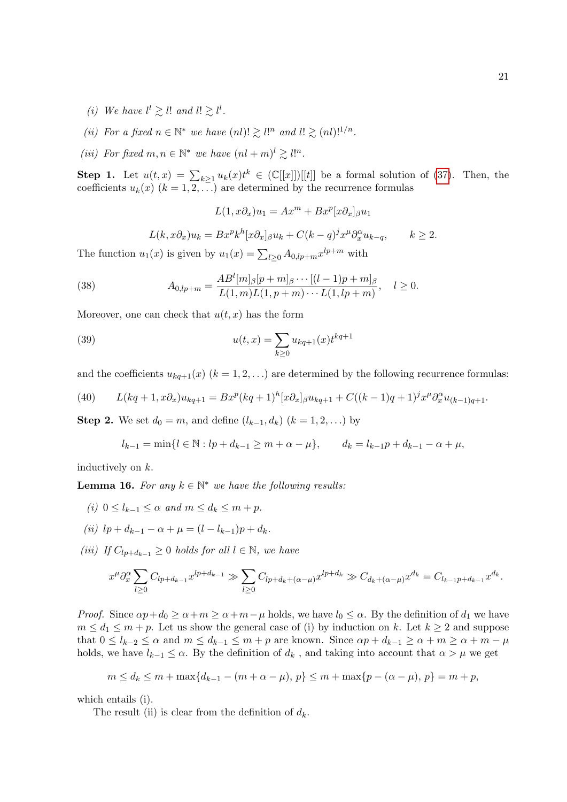- (i) We have  $l^l \geq l!$  and  $l! \geq l^l$ .
- (ii) For a fixed  $n \in \mathbb{N}^*$  we have  $(nl)! \gtrsim l!^n$  and  $l! \gtrsim (nl)!^{1/n}$ .
- (iii) For fixed  $m, n \in \mathbb{N}^*$  we have  $(nl+m)^l \geq l!^n$ .

**Step 1.** Let  $u(t,x) = \sum_{k\geq 1} u_k(x)t^k \in (\mathbb{C}[[x]])[[t]]$  be a formal solution of [\(37\)](#page-18-3). Then, the coefficients  $u_k(x)$   $(k = 1, 2, ...)$  are determined by the recurrence formulas

<span id="page-20-2"></span> $L(1, x\partial_x)u_1 = Ax^m + Bx^p[x\partial_x]_{\beta}u_1$ 

<span id="page-20-1"></span>
$$
L(k, x\partial_x)u_k = Bx^pk^h[x\partial_x]_{\beta}u_k + C(k-q)^jx^{\mu}\partial_x^{\alpha}u_{k-q}, \qquad k \ge 2.
$$

The function  $u_1(x)$  is given by  $u_1(x) = \sum_{l \geq 0} A_{0,lp+m} x^{lp+m}$  with

(38) 
$$
A_{0,lp+m} = \frac{AB^{l}[m]_{\beta}[p+m]_{\beta}\cdots[(l-1)p+m]_{\beta}}{L(1,m)L(1,p+m)\cdots L(1,lp+m)}, \quad l \geq 0.
$$

Moreover, one can check that  $u(t, x)$  has the form

(39) 
$$
u(t,x) = \sum_{k\geq 0} u_{kq+1}(x) t^{kq+1}
$$

and the coefficients  $u_{kq+1}(x)$   $(k = 1, 2, ...)$  are determined by the following recurrence formulas:

<span id="page-20-3"></span>(40) 
$$
L(kq+1,x\partial_x)u_{kq+1} = Bx^p(kq+1)^h[x\partial_x]_{\beta}u_{kq+1} + C((k-1)q+1)^j x^{\mu} \partial_x^{\alpha} u_{(k-1)q+1}.
$$

**Step 2.** We set  $d_0 = m$ , and define  $(l_{k-1}, d_k)$   $(k = 1, 2, ...)$  by

$$
l_{k-1} = \min\{l \in \mathbb{N} : lp + d_{k-1} \ge m + \alpha - \mu\}, \qquad d_k = l_{k-1}p + d_{k-1} - \alpha + \mu,
$$

inductively on k.

<span id="page-20-0"></span>**Lemma 16.** For any  $k \in \mathbb{N}^*$  we have the following results:

- (i)  $0 \leq l_{k-1} \leq \alpha$  and  $m \leq d_k \leq m + p$ .
- (ii)  $lp + d_{k-1} \alpha + \mu = (l l_{k-1})p + d_k$ .
- (iii) If  $C_{l_0 + d_{k-1}} \geq 0$  holds for all  $l \in \mathbb{N}$ , we have

$$
x^{\mu} \partial_x^{\alpha} \sum_{l \ge 0} C_{lp + d_{k-1}} x^{lp + d_{k-1}} \gg \sum_{l \ge 0} C_{lp + d_k + (\alpha - \mu)} x^{lp + d_k} \gg C_{d_k + (\alpha - \mu)} x^{d_k} = C_{l_{k-1}p + d_{k-1}} x^{d_k}.
$$

*Proof.* Since  $\alpha p + d_0 \ge \alpha + m \ge \alpha + m - \mu$  holds, we have  $l_0 \le \alpha$ . By the definition of  $d_1$  we have  $m \leq d_1 \leq m+p$ . Let us show the general case of (i) by induction on k. Let  $k \geq 2$  and suppose that  $0 \leq l_{k-2} \leq \alpha$  and  $m \leq d_{k-1} \leq m+p$  are known. Since  $\alpha p + d_{k-1} \geq \alpha + m \geq \alpha + m - \mu$ holds, we have  $l_{k-1} \leq \alpha$ . By the definition of  $d_k$ , and taking into account that  $\alpha > \mu$  we get

$$
m \le d_k \le m + \max\{d_{k-1} - (m + \alpha - \mu), p\} \le m + \max\{p - (\alpha - \mu), p\} = m + p,
$$

which entails (i).

The result (ii) is clear from the definition of  $d_k$ .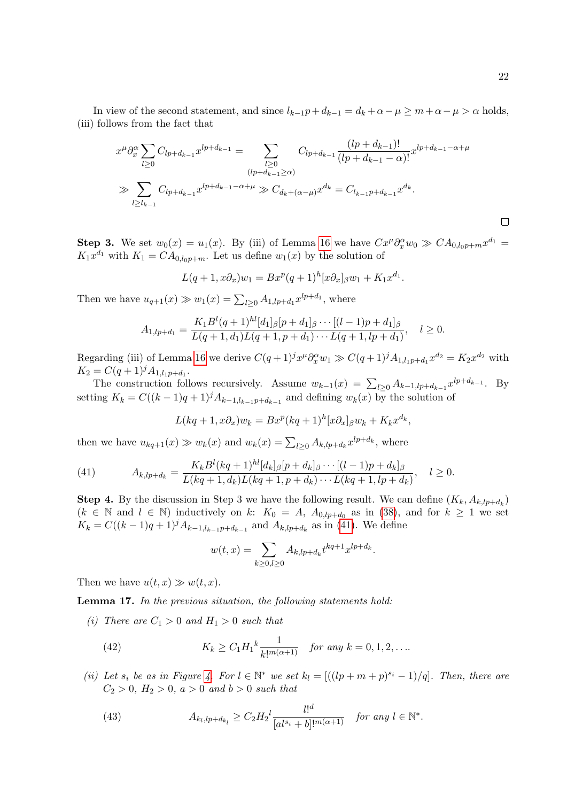In view of the second statement, and since  $l_{k-1}p+d_{k-1}=d_k+\alpha-\mu\geq m+\alpha-\mu>\alpha$  holds, (iii) follows from the fact that

$$
x^{\mu} \partial_x^{\alpha} \sum_{l \ge 0} C_{lp+d_{k-1}} x^{lp+d_{k-1}} = \sum_{\substack{l \ge 0 \\ (lp+d_{k-1}) \ge 0}} C_{lp+d_{k-1}} \frac{(lp+d_{k-1})!}{(lp+d_{k-1}-\alpha)!} x^{lp+d_{k-1}-\alpha+\mu}
$$
  

$$
\gg \sum_{l \ge l_{k-1}} C_{lp+d_{k-1}} x^{lp+d_{k-1}-\alpha+\mu} \gg C_{d_k+(\alpha-\mu)} x^{d_k} = C_{l_{k-1}p+d_{k-1}} x^{d_k}.
$$

**Step 3.** We set  $w_0(x) = u_1(x)$ . By (iii) of Lemma [16](#page-20-0) we have  $Cx^{\mu}\partial_x^{\alpha}w_0 \gg CA_{0,l_0p+m}x^{d_1} =$  $K_1x^{d_1}$  with  $K_1 = CA_{0,l_0p+m}$ . Let us define  $w_1(x)$  by the solution of

$$
L(q+1, x\partial_x)w_1 = Bx^p(q+1)^h[x\partial_x]_{\beta}w_1 + K_1x^{d_1}.
$$

Then we have  $u_{q+1}(x) \gg w_1(x) = \sum_{l \geq 0} A_{1,lp+d_1} x^{lp+d_1}$ , where

$$
A_{1,lp+d_1} = \frac{K_1 B^l(q+1)^{hl}[d_1]_{\beta}[p+d_1]_{\beta} \cdots [(l-1)p+d_1]_{\beta}}{L(q+1,d_1)L(q+1,p+d_1) \cdots L(q+1,lp+d_1)}, \quad l \ge 0.
$$

Regarding (iii) of Lemma [16](#page-20-0) we derive  $C(q+1)^j x^{\mu} \partial_x^{\alpha} w_1 \gg C(q+1)^j A_{1,l_1p+d_1} x^{d_2} = K_2 x^{d_2}$  with  $K_2 = C(q+1)^j A_{1,l_1p+d_1}.$ 

The construction follows recursively. Assume  $w_{k-1}(x) = \sum_{l\geq 0} A_{k-1,lp+d_{k-1}} x^{lp+d_{k-1}}$ . By setting  $K_k = C((k-1)q+1)^j A_{k-1,k_{k-1}p+d_{k-1}}$  and defining  $w_k(x)$  by the solution of

$$
L(kq+1, x\partial_x)w_k = Bx^p(kq+1)^h [x\partial_x]_{\beta}w_k + K_kx^{d_k},
$$

then we have  $u_{kq+1}(x) \gg w_k(x)$  and  $w_k(x) = \sum_{l \geq 0} A_{k,lp+d_k} x^{lp+d_k}$ , where

<span id="page-21-0"></span>(41) 
$$
A_{k,lp+d_k} = \frac{K_k B^l (kq+1)^{hl} [d_k]_\beta [p+d_k]_\beta \cdots [(l-1)p+d_k]_\beta}{L (kq+1, d_k)L (kq+1, p+d_k) \cdots L (kq+1, lp+d_k)}, \quad l \ge 0.
$$

**Step 4.** By the discussion in Step 3 we have the following result. We can define  $(K_k, A_{k, l p+d_k})$  $(k \in \mathbb{N}$  and  $l \in \mathbb{N}$ ) inductively on k:  $K_0 = A$ ,  $A_{0,lp+d_0}$  as in [\(38\)](#page-20-1), and for  $k \ge 1$  we set  $K_k = C((k-1)q+1)^j A_{k-1,l_{k-1}p+d_{k-1}}$  and  $A_{k,lp+d_k}$  as in [\(41\)](#page-21-0). We define

<span id="page-21-1"></span>
$$
w(t,x) = \sum_{k \ge 0, l \ge 0} A_{k,lp+{d_k}} t^{kq+1} x^{lp+{d_k}}.
$$

Then we have  $u(t, x) \gg w(t, x)$ .

<span id="page-21-3"></span>Lemma 17. In the previous situation, the following statements hold:

(i) There are  $C_1 > 0$  and  $H_1 > 0$  such that

(42) 
$$
K_k \ge C_1 H_1^k \frac{1}{k!^{m(\alpha+1)}} \quad \text{for any } k = 0, 1, 2, \dots
$$

(ii) Let  $s_i$  be as in Figure [4.](#page-19-0) For  $l \in \mathbb{N}^*$  we set  $k_l = [((lp+m+p)^{s_i}-1)/q]$ . Then, there are  $C_2 > 0$ ,  $H_2 > 0$ ,  $a > 0$  and  $b > 0$  such that

<span id="page-21-2"></span>(43) 
$$
A_{k_l, l p + d_{k_l}} \ge C_2 H_2^l \frac{l!^d}{[al^{s_i} + b]!^{m(\alpha+1)}} \quad \text{for any } l \in \mathbb{N}^*.
$$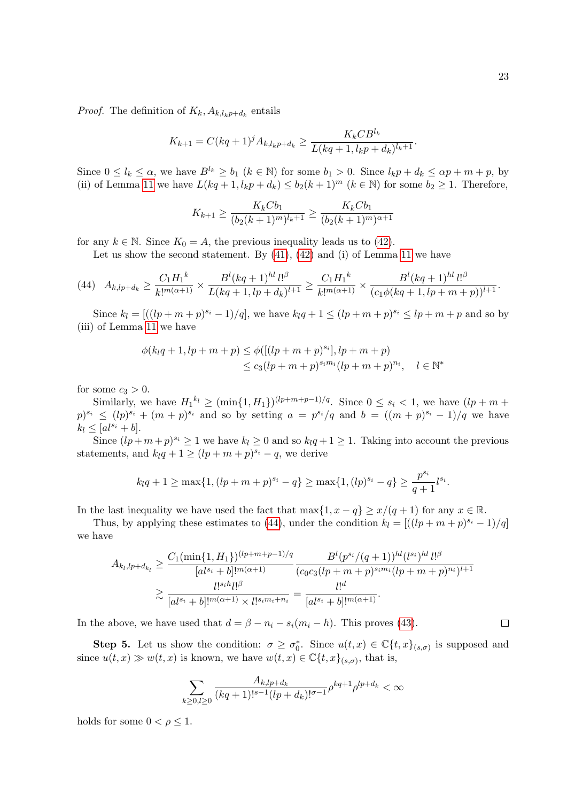*Proof.* The definition of  $K_k$ ,  $A_{k,l_kp+d_k}$  entails

$$
K_{k+1} = C(kq+1)^j A_{k,l_k p + d_k} \ge \frac{K_k C B^{l_k}}{L(kq+1, l_k p + d_k)^{l_k+1}}.
$$

Since  $0 \leq l_k \leq \alpha$ , we have  $B^{l_k} \geq b_1$   $(k \in \mathbb{N})$  for some  $b_1 > 0$ . Since  $l_k p + d_k \leq \alpha p + m + p$ , by (ii) of Lemma [11](#page-17-5) we have  $L(kq+1, l_kp+d_k) \leq b_2(k+1)^m$   $(k \in \mathbb{N})$  for some  $b_2 \geq 1$ . Therefore,

$$
K_{k+1} \ge \frac{K_k C b_1}{(b_2 (k+1)^m)^{l_k+1}} \ge \frac{K_k C b_1}{(b_2 (k+1)^m)^{\alpha+1}}
$$

for any  $k \in \mathbb{N}$ . Since  $K_0 = A$ , the previous inequality leads us to [\(42\)](#page-21-1).

Let us show the second statement. By  $(41)$ ,  $(42)$  and  $(i)$  of Lemma [11](#page-17-5) we have

<span id="page-22-0"></span>
$$
(44) \quad A_{k,lp+d_k} \geq \frac{C_1H_1^k}{k!^{m(\alpha+1)}} \times \frac{B^l(kq+1)^{hl} \, l!^\beta}{L(kq+1,lp+d_k)^{l+1}} \geq \frac{C_1H_1^k}{k!^{m(\alpha+1)}} \times \frac{B^l(kq+1)^{hl} \, l!^\beta}{(c_1\phi(kq+1,lp+m+p))^{l+1}}.
$$

Since  $k_l = [((lp + m + p)^{s_i} - 1)/q]$ , we have  $k_l q + 1 \leq (lp + m + p)^{s_i} \leq lp + m + p$  and so by (iii) of Lemma [11](#page-17-5) we have

$$
\phi(k_l q + 1, l p + m + p) \leq \phi([(l p + m + p)^{s_i}], l p + m + p)
$$
  

$$
\leq c_3(l p + m + p)^{s_i m_i} (l p + m + p)^{n_i}, \quad l \in \mathbb{N}^*
$$

for some  $c_3 > 0$ .

Similarly, we have  $H_1^{k_l} \geq (\min\{1, H_1\})^{(lp+m+p-1)/q}$ . Since  $0 \leq s_i < 1$ , we have  $(lp+m+p-1)/q$ .  $(p)^{s_i} \leq (lp)^{s_i} + (m+p)^{s_i}$  and so by setting  $a = p^{s_i}/q$  and  $b = ((m+p)^{s_i}-1)/q$  we have  $k_l \leq [al^{s_i} + b].$ 

Since  $(lp+m+p)^{s_i} \geq 1$  we have  $k_l \geq 0$  and so  $k_lq+1 \geq 1$ . Taking into account the previous statements, and  $k_l q + 1 \geq (lp + m + p)^{s_i} - q$ , we derive

$$
k_l q + 1 \ge \max\{1, (lp + m + p)^{s_i} - q\} \ge \max\{1, (lp)^{s_i} - q\} \ge \frac{p^{s_i}}{q+1} l^{s_i}.
$$

In the last inequality we have used the fact that  $\max\{1, x - q\} \geq x/(q+1)$  for any  $x \in \mathbb{R}$ .

Thus, by applying these estimates to [\(44\)](#page-22-0), under the condition  $k_l = \left[ ((lp + m + p)^{s_i} - 1)/q \right]$ we have

$$
A_{k_l,lp+d_{k_l}} \ge \frac{C_1(\min\{1,H_1\})^{(lp+m+p-1)/q}}{[al^{s_i}+b]!^{m(\alpha+1)}} \frac{B^l(p^{s_i}/(q+1))^{hl}(l^{s_i})^{hl}l!^{\beta}}{(c_0c_3(lp+m+p)^{s_im_i}(lp+m+p)^{n_i})^{l+1}}
$$

$$
\ge \frac{l!^{s_i}l!^{j\beta}}{[al^{s_i}+b]!^{m(\alpha+1)} \times l!^{s_im_i+n_i}} = \frac{l!^d}{[al^{s_i}+b]!^{m(\alpha+1)}}.
$$

In the above, we have used that  $d = \beta - n_i - s_i(m_i - h)$ . This proves [\(43\)](#page-21-2).

**Step 5.** Let us show the condition:  $\sigma \geq \sigma_0^*$ . Since  $u(t,x) \in \mathbb{C}\lbrace t,x \rbrace_{(s,\sigma)}$  is supposed and since  $u(t,x) \gg w(t,x)$  is known, we have  $w(t,x) \in \mathbb{C}\lbrace t, x \rbrace_{(s,\sigma)}$ , that is,

$$
\sum_{k\geq 0, l\geq 0} \frac{A_{k,lp+d_k}}{(kq+1)!^{s-1}(lp+d_k)!^{\sigma-1}} \rho^{kq+1} \rho^{lp+d_k} < \infty
$$

holds for some  $0 < \rho \leq 1$ .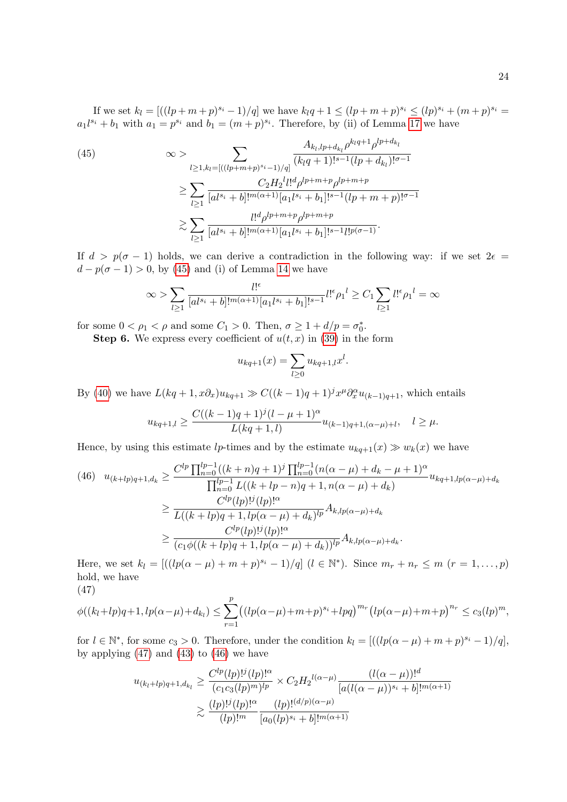If we set  $k_l = [((lp+m+p)^{s_i}-1)/q]$  we have  $k_lq+1 \leq (lp+m+p)^{s_i} \leq (lp)^{s_i}+(m+p)^{s_i} =$  $a_1 l^{s_i} + b_1$  with  $a_1 = p^{s_i}$  and  $b_1 = (m+p)^{s_i}$ . Therefore, by (ii) of Lemma [17](#page-21-3) we have

<span id="page-23-0"></span>(45) 
$$
\infty > \sum_{l \ge 1, k_l = [((lp+m+p)^{s_i}-1)/q]} \frac{A_{k_l, lp+d_{k_l}} \rho^{k_l q+1} \rho^{lp+d_{k_l}}}{(k_l q+1)!^{s-1} (lp+d_{k_l})!^{\sigma-1}} \n\ge \sum_{l \ge 1} \frac{C_2 H_2^l l!^d \rho^{lp+m+p} \rho^{lp+m+p}}{[al^{s_i}+b]!^{m(\alpha+1)} [a_1 l^{s_i} + b_1]!^{s-1} (lp+m+p)!^{\sigma-1}} \n\ge \sum_{l \ge 1} \frac{l!^d \rho^{lp+m+p} \rho^{lp+m+p}}{[al^{s_i}+b]!^{m(\alpha+1)} [a_1 l^{s_i} + b_1]!^{s-1} l!^{p(\sigma-1)}}.
$$

If  $d > p(\sigma - 1)$  holds, we can derive a contradiction in the following way: if we set  $2\epsilon =$  $d - p(\sigma - 1) > 0$ , by [\(45\)](#page-23-0) and (i) of Lemma [14](#page-18-4) we have

$$
\infty > \sum_{l \ge 1} \frac{l!^{\epsilon}}{[al^{s_i} + b]!^{m(\alpha+1)}[a_1l^{s_i} + b_1]!^{s-1}} l!^{\epsilon} \rho_1 l \ge C_1 \sum_{l \ge 1} l!^{\epsilon} \rho_1 l = \infty
$$

for some  $0 < \rho_1 < \rho$  and some  $C_1 > 0$ . Then,  $\sigma \ge 1 + d/p = \sigma_0^*$ .

**Step 6.** We express every coefficient of  $u(t, x)$  in [\(39\)](#page-20-2) in the form

$$
u_{kq+1}(x) = \sum_{l \ge 0} u_{kq+1,l} x^l.
$$

By [\(40\)](#page-20-3) we have  $L(kq+1,x\partial_x)u_{kq+1} \gg C((k-1)q+1)^j x^{\mu} \partial_x^{\alpha} u_{(k-1)q+1}$ , which entails

$$
u_{kq+1,l} \ge \frac{C((k-1)q+1)^j(l-\mu+1)^{\alpha}}{L(kq+1,l)} u_{(k-1)q+1,(\alpha-\mu)+l}, \quad l \ge \mu.
$$

Hence, by using this estimate lp-times and by the estimate  $u_{kq+1}(x) \gg w_k(x)$  we have

<span id="page-23-2"></span>
$$
(46) \quad u_{(k+lp)q+1,d_k} \geq \frac{C^{lp} \prod_{n=0}^{lp-1} ((k+n)q+1)^j \prod_{n=0}^{lp-1} (n(\alpha - \mu) + d_k - \mu + 1)^{\alpha}}{\prod_{n=0}^{lp-1} L((k+lp-n)q+1, n(\alpha - \mu) + d_k)} u_{kq+1,lp(\alpha - \mu) + d_k}
$$

$$
\geq \frac{C^{lp}(lp)!^j (lp)!^{\alpha}}{L((k+lp)q+1, lp(\alpha - \mu) + d_k)^{lp}} A_{k,lp(\alpha - \mu) + d_k}
$$

$$
\geq \frac{C^{lp}(lp)!^j (lp)!^{\alpha}}{(c_1\phi((k+lp)q+1, lp(\alpha - \mu) + d_k))^{lp}} A_{k,lp(\alpha - \mu) + d_k}.
$$

Here, we set  $k_l = [((lp(\alpha - \mu) + m + p)^{s_i} - 1)/q]$   $(l \in \mathbb{N}^*)$ . Since  $m_r + n_r \le m$   $(r = 1, ..., p)$ hold, we have (47)

<span id="page-23-1"></span>
$$
\phi((k_l + lp)q + 1, lp(\alpha - \mu) + d_{k_l}) \leq \sum_{r=1}^p ((lp(\alpha - \mu) + m + p)^{s_i} + lpq)^{m_r} (lp(\alpha - \mu) + m + p)^{n_r} \leq c_3 (lp)^m,
$$

for  $l \in \mathbb{N}^*$ , for some  $c_3 > 0$ . Therefore, under the condition  $k_l = [((lp(\alpha - \mu) + m + p)^{s_i} - 1)/q]$ , by applying  $(47)$  and  $(43)$  to  $(46)$  we have

$$
u_{(k_l+l p)q+1,d_{k_l}} \ge \frac{C^{lp}(lp)!^j(lp)!^{\alpha}}{(c_1c_3(lp)^m)^{lp}} \times C_2 H_2^{l(\alpha-\mu)} \frac{(l(\alpha-\mu))!^d}{[a(l(\alpha-\mu))^{s_i} + b]!^{m(\alpha+1)}}
$$
  

$$
\ge \frac{(lp)!^j(lp)!^{\alpha}}{(lp)!^m} \frac{(lp)!^{(d/p)(\alpha-\mu)}}{[a_0(lp)^{s_i} + b]!^{m(\alpha+1)}}
$$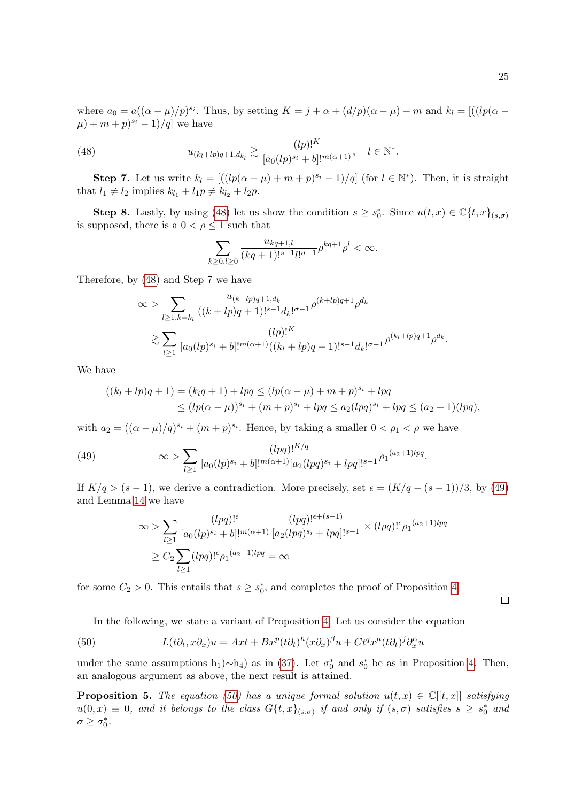where  $a_0 = a((\alpha - \mu)/p)^{s_i}$ . Thus, by setting  $K = j + \alpha + (d/p)(\alpha - \mu) - m$  and  $k_l = [((lp(\alpha - \mu)/p)^{s_i}]$ .  $(\mu) + m + p)^{s_i} - 1)/q$  we have

(48) 
$$
u_{(k_l+l p)q+1,d_{k_l}} \gtrsim \frac{(lp)!^K}{[a_0(lp)^{s_i}+b]!^{m(\alpha+1)}}, \quad l \in \mathbb{N}^*.
$$

**Step 7.** Let us write  $k_l = [((lp(\alpha - \mu) + m + p)^{s_i} - 1)/q]$  (for  $l \in \mathbb{N}^*$ ). Then, it is straight that  $l_1 \neq l_2$  implies  $k_{l_1} + l_1p \neq k_{l_2} + l_2p$ .

**Step 8.** Lastly, by using [\(48\)](#page-24-0) let us show the condition  $s \geq s_0^*$ . Since  $u(t,x) \in \mathbb{C}\lbrace t,x \rbrace_{(s,\sigma)}$ is supposed, there is a  $0 < \rho \leq 1$  such that

<span id="page-24-0"></span>
$$
\sum_{k\geq 0, l\geq 0} \frac{u_{kq+1,l}}{(kq+1)!^{s-1}l!^{\sigma-1}} \rho^{kq+1} \rho^l < \infty.
$$

Therefore, by [\(48\)](#page-24-0) and Step 7 we have

$$
\infty > \sum_{l \ge 1, k = k_l} \frac{u_{(k+lp)q+1, d_k}}{((k+lp)q+1)!^{s-1} d_k!^{(\sigma-1)}} \rho^{(k+lp)q+1} \rho^{d_k}
$$
  

$$
\ge \sum_{l \ge 1} \frac{(lp)!^K}{[a_0(lp)^{s_i}+b]!^{m(\alpha+1)}((k_l+lp)q+1)!^{s-1} d_k!^{(\sigma-1)}} \rho^{(k_l+lp)q+1} \rho^{d_k}.
$$

We have

$$
((k_l + lp)q + 1) = (k_lq + 1) + lpq \le (lp(\alpha - \mu) + m + p)^{s_i} + lpq
$$
  
 
$$
\le (lp(\alpha - \mu))^{s_i} + (m + p)^{s_i} + lpq \le a_2 (lpq)^{s_i} + lpq \le (a_2 + 1)(lpq),
$$

with  $a_2 = ((\alpha - \mu)/q)^{s_i} + (m + p)^{s_i}$ . Hence, by taking a smaller  $0 < \rho_1 < \rho$  we have

(49) 
$$
\infty > \sum_{l \ge 1} \frac{(lpq)!^{K/q}}{[a_0(lp)^{s_i} + b]!^{m(\alpha+1)}[a_2(lpq)^{s_i} + lpq]!^{s-1}} \rho_1^{(a_2+1)lpq}.
$$

If  $K/q > (s-1)$ , we derive a contradiction. More precisely, set  $\epsilon = (K/q - (s-1))/3$ , by [\(49\)](#page-24-1) and Lemma [14](#page-18-4) we have

<span id="page-24-1"></span>
$$
\infty > \sum_{l \ge 1} \frac{(lpq)!^{\epsilon}}{[a_0(lp)^{s_i} + b]!^{m(\alpha+1)}} \frac{(lpq)!^{\epsilon + (s-1)}}{[a_2(lpq)^{s_i} + lpq]!^{s-1}} \times (lpq)!^{\epsilon} \rho_1^{(a_2+1)lpq}
$$
  

$$
\ge C_2 \sum_{l \ge 1} (lpq)!^{\epsilon} \rho_1^{(a_2+1)lpq} = \infty
$$

for some  $C_2 > 0$ . This entails that  $s \geq s_0^*$ , and completes the proof of Proposition [4.](#page-19-1)

 $\Box$ 

<span id="page-24-2"></span>In the following, we state a variant of Proposition [4.](#page-19-1) Let us consider the equation

(50) 
$$
L(t\partial_t, x\partial_x)u = Axt + Bx^p(t\partial_t)^h(x\partial_x)^{\beta}u + Ct^qx^{\mu}(t\partial_t)^j\partial_x^{\alpha}u
$$

under the same assumptions  $h_1$ )∼ $h_4$ ) as in [\(37\)](#page-18-3). Let  $\sigma_0^*$  and  $s_0^*$  be as in Proposition [4.](#page-19-1) Then, an analogous argument as above, the next result is attained.

**Proposition 5.** The equation [\(50\)](#page-24-2) has a unique formal solution  $u(t, x) \in \mathbb{C}[[t, x]]$  satisfying  $u(0,x) \equiv 0$ , and it belongs to the class  $G\{t,x\}_{(s,\sigma)}$  if and only if  $(s,\sigma)$  satisfies  $s \geq s_0^*$  and  $\sigma \geq \sigma_0^*$ .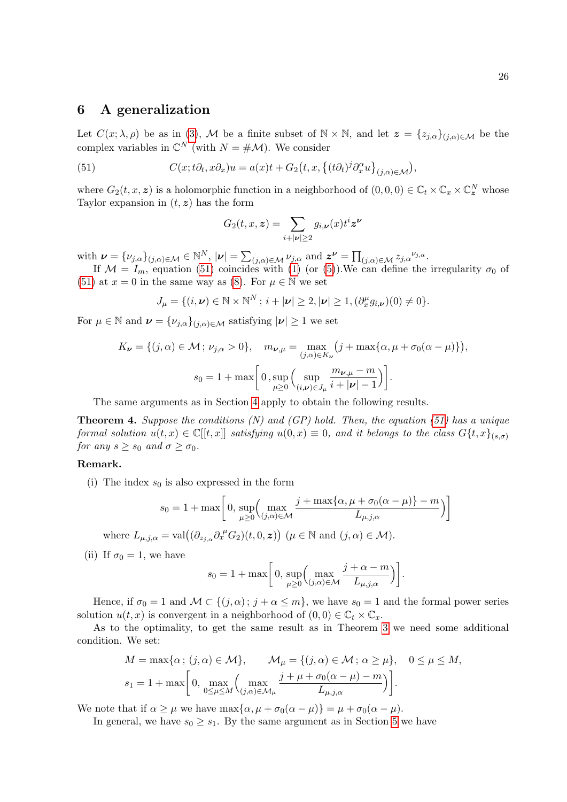# <span id="page-25-0"></span>6 A generalization

Let  $C(x; \lambda, \rho)$  be as in [\(3\)](#page-1-1), M be a finite subset of  $\mathbb{N} \times \mathbb{N}$ , and let  $\mathbf{z} = \{z_{j,\alpha}\}_{(j,\alpha)\in\mathcal{M}}$  be the complex variables in  $\mathbb{C}^N$  (with  $N = \# \mathcal{M}$ ). We consider

(51) 
$$
C(x; t\partial_t, x\partial_x)u = a(x)t + G_2(t, x, \{(t\partial_t)^j \partial_x^{\alpha} u\}_{(j,\alpha)\in\mathcal{M}}),
$$

where  $G_2(t, x, z)$  is a holomorphic function in a neighborhood of  $(0, 0, 0) \in \mathbb{C}_t \times \mathbb{C}_x \times \mathbb{C}_z^N$  whose Taylor expansion in  $(t, z)$  has the form

<span id="page-25-1"></span>
$$
G_2(t, x, \boldsymbol{z}) = \sum_{i+|\boldsymbol{\nu}| \ge 2} g_{i, \boldsymbol{\nu}}(x) t^i \boldsymbol{z}^{\boldsymbol{\nu}}
$$

with  $\boldsymbol{\nu} = {\{\nu_{j,\alpha}\}}_{(j,\alpha)\in\mathcal{M}} \in \mathbb{N}^N$ ,  $|\boldsymbol{\nu}| = \sum_{(j,\alpha)\in\mathcal{M}} \nu_{j,\alpha}$  and  $\boldsymbol{z}^{\boldsymbol{\nu}} = \prod_{(j,\alpha)\in\mathcal{M}} z_{j,\alpha}^{\nu_{j,\alpha}}$ .

If  $\mathcal{M} = I_m$ , equation [\(51\)](#page-25-1) coincides with [\(1\)](#page-1-0) (or [\(5\)](#page-1-4)). We can define the irregularity  $\sigma_0$  of [\(51\)](#page-25-1) at  $x = 0$  in the same way as [\(8\)](#page-4-1). For  $\mu \in \mathbb{N}$  we set

$$
J_{\mu} = \{ (i, \nu) \in \mathbb{N} \times \mathbb{N}^{N} \, ; \, i + |\nu| \geq 2, |\nu| \geq 1, (\partial_x^{\mu} g_{i, \nu})(0) \neq 0 \}.
$$

For  $\mu \in \mathbb{N}$  and  $\boldsymbol{\nu} = {\{\nu_{j,\alpha}\}}_{(j,\alpha)\in\mathcal{M}}$  satisfying  $|\boldsymbol{\nu}| \geq 1$  we set

$$
K_{\nu} = \{ (j, \alpha) \in \mathcal{M} \, ; \, \nu_{j,\alpha} > 0 \}, \quad m_{\nu,\mu} = \max_{(j,\alpha) \in K_{\nu}} \left( j + \max \{ \alpha, \mu + \sigma_0(\alpha - \mu) \} \right),
$$
\n
$$
s_0 = 1 + \max \left[ 0, \sup_{\mu \ge 0} \left( \sup_{(i,\nu) \in J_{\mu}} \frac{m_{\nu,\mu} - m}{i + |\nu| - 1} \right) \right].
$$

The same arguments as in Section [4](#page-11-0) apply to obtain the following results.

**Theorem 4.** Suppose the conditions  $(N)$  and  $(GP)$  hold. Then, the equation [\(51\)](#page-25-1) has a unique formal solution  $u(t, x) \in \mathbb{C}[[t, x]]$  satisfying  $u(0, x) \equiv 0$ , and it belongs to the class  $G\{t, x\}_{(s, \sigma)}$ for any  $s \geq s_0$  and  $\sigma \geq \sigma_0$ .

#### Remark.

(i) The index  $s_0$  is also expressed in the form

$$
s_0 = 1 + \max\left[0, \sup_{\mu \ge 0} \left(\max_{(j,\alpha)\in\mathcal{M}} \frac{j + \max\{\alpha, \mu + \sigma_0(\alpha - \mu)\} - m}{L_{\mu,j,\alpha}}\right)\right]
$$

where  $L_{\mu,j,\alpha} = \text{val}((\partial_{z_{j,\alpha}} \partial_x^{\mu} G_2)(t,0,\boldsymbol{z})) \ (\mu \in \mathbb{N} \text{ and } (j,\alpha) \in \mathcal{M}).$ 

(ii) If  $\sigma_0 = 1$ , we have

$$
s_0 = 1 + \max\bigg[0, \sup_{\mu \ge 0} \Big( \max_{(j,\alpha) \in \mathcal{M}} \frac{j + \alpha - m}{L_{\mu,j,\alpha}} \Big) \bigg].
$$

Hence, if  $\sigma_0 = 1$  and  $\mathcal{M} \subset \{(j, \alpha) : j + \alpha \leq m\}$ , we have  $s_0 = 1$  and the formal power series solution  $u(t, x)$  is convergent in a neighborhood of  $(0, 0) \in \mathbb{C}_t \times \mathbb{C}_x$ .

As to the optimality, to get the same result as in Theorem [3](#page-5-2) we need some additional condition. We set:

$$
M = \max\{\alpha \, ; \, (j, \alpha) \in \mathcal{M}\}, \qquad \mathcal{M}_{\mu} = \{(j, \alpha) \in \mathcal{M} \, ; \, \alpha \ge \mu\}, \quad 0 \le \mu \le M, s_1 = 1 + \max\bigg[0, \max_{0 \le \mu \le M} \left(\max_{(j, \alpha) \in \mathcal{M}_{\mu}} \frac{j + \mu + \sigma_0(\alpha - \mu) - m}{L_{\mu, j, \alpha}}\right)\bigg].
$$

We note that if  $\alpha \geq \mu$  we have  $\max{\alpha, \mu + \sigma_0(\alpha - \mu)} = \mu + \sigma_0(\alpha - \mu)$ .

In general, we have  $s_0 \geq s_1$ . By the same argument as in Section [5](#page-16-0) we have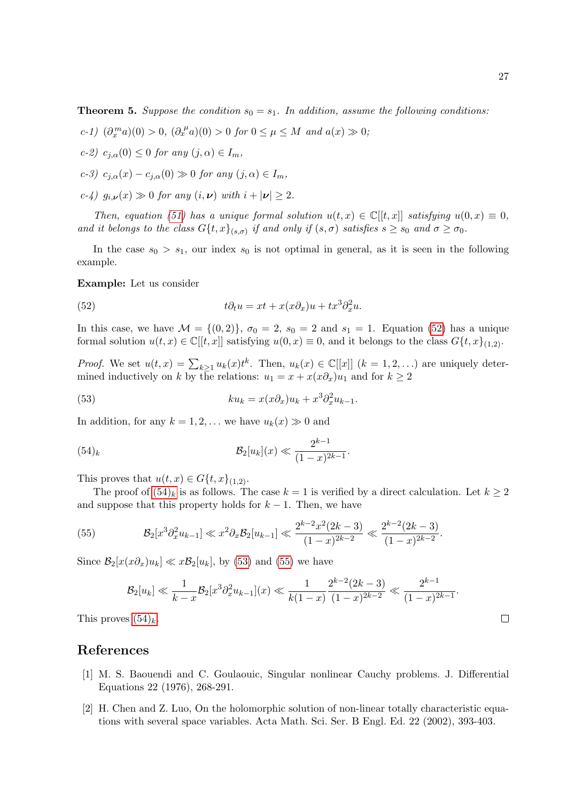$$
c-1) \ (\partial_x^m a)(0) > 0, \ (\partial_x^{\mu} a)(0) > 0 \ for \ 0 \le \mu \le M \ and \ a(x) \gg 0;
$$

$$
c-2) c_{j,\alpha}(0) \leq 0 \text{ for any } (j,\alpha) \in I_m,
$$

$$
c-3) c_{j,\alpha}(x) - c_{j,\alpha}(0) \gg 0 \text{ for any } (j,\alpha) \in I_m,
$$

$$
c-\xi
$$
 g<sub>i,\nu</sub>(x)  $\gg 0$  for any  $(i,\nu)$  with  $i+|\nu| \geq 2$ .

Then, equation [\(51\)](#page-25-1) has a unique formal solution  $u(t, x) \in \mathbb{C}[[t, x]]$  satisfying  $u(0, x) \equiv 0$ , and it belongs to the class  $G\{t, x\}_{(s, \sigma)}$  if and only if  $(s, \sigma)$  satisfies  $s \geq s_0$  and  $\sigma \geq \sigma_0$ .

In the case  $s_0 > s_1$ , our index  $s_0$  is not optimal in general, as it is seen in the following example.

#### Example: Let us consider

<span id="page-26-2"></span>(52) 
$$
t\partial_t u = xt + x(x\partial_x)u + tx^3\partial_x^2 u.
$$

In this case, we have  $\mathcal{M} = \{(0, 2)\}\$ ,  $\sigma_0 = 2$ ,  $s_0 = 2$  and  $s_1 = 1$ . Equation [\(52\)](#page-26-2) has a unique formal solution  $u(t, x) \in \mathbb{C}[[t, x]]$  satisfying  $u(0, x) \equiv 0$ , and it belongs to the class  $G\{t, x\}_{(1,2)}$ .

*Proof.* We set  $u(t, x) = \sum_{k \geq 1} u_k(x) t^k$ . Then,  $u_k(x) \in \mathbb{C}[[x]]$   $(k = 1, 2, ...)$  are uniquely determined inductively on k by the relations:  $u_1 = x + x(x\partial_x)u_1$  and for  $k \ge 2$ 

<span id="page-26-4"></span>(53) 
$$
ku_k = x(x\partial_x)u_k + x^3\partial_x^2u_{k-1}.
$$

In addition, for any  $k = 1, 2, \ldots$  we have  $u_k(x) \gg 0$  and

<span id="page-26-5"></span><span id="page-26-3"></span>(54)<sub>k</sub> 
$$
\mathcal{B}_2[u_k](x) \ll \frac{2^{k-1}}{(1-x)^{2k-1}}.
$$

This proves that  $u(t, x) \in G\{t, x\}_{(1,2)}$ .

The proof of  $(54)_k$  is as follows. The case  $k = 1$  is verified by a direct calculation. Let  $k \geq 2$ and suppose that this property holds for  $k - 1$ . Then, we have

(55) 
$$
\mathcal{B}_2[x^3 \partial_x^2 u_{k-1}] \ll x^2 \partial_x \mathcal{B}_2[u_{k-1}] \ll \frac{2^{k-2} x^2 (2k-3)}{(1-x)^{2k-2}} \ll \frac{2^{k-2} (2k-3)}{(1-x)^{2k-2}}.
$$

Since  $\mathcal{B}_2[x(x\partial_x)u_k] \ll x\mathcal{B}_2[u_k]$ , by [\(53\)](#page-26-4) and [\(55\)](#page-26-5) we have

$$
\mathcal{B}_2[u_k] \ll \frac{1}{k-x} \mathcal{B}_2[x^3 \partial_x^2 u_{k-1}](x) \ll \frac{1}{k(1-x)} \frac{2^{k-2}(2k-3)}{(1-x)^{2k-2}} \ll \frac{2^{k-1}}{(1-x)^{2k-1}}.
$$

This proves  $(54)_k$ .

# References

- <span id="page-26-0"></span>[1] M. S. Baouendi and C. Goulaouic, Singular nonlinear Cauchy problems. J. Differential Equations 22 (1976), 268-291.
- <span id="page-26-1"></span>[2] H. Chen and Z. Luo, On the holomorphic solution of non-linear totally characteristic equations with several space variables. Acta Math. Sci. Ser. B Engl. Ed. 22 (2002), 393-403.